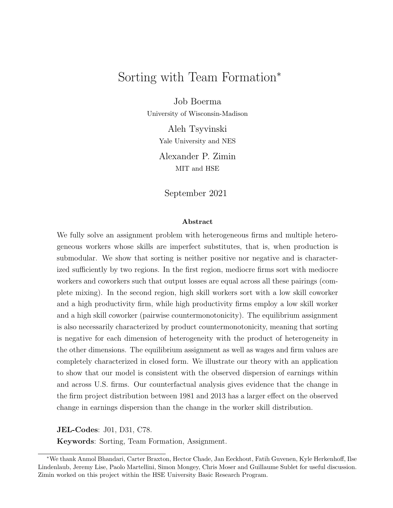# Sorting with Team Formation<sup>∗</sup>

Job Boerma

University of Wisconsin-Madison

Aleh Tsyvinski Yale University and NES

Alexander P. Zimin MIT and HSE

September 2021

#### Abstract

We fully solve an assignment problem with heterogeneous firms and multiple heterogeneous workers whose skills are imperfect substitutes, that is, when production is submodular. We show that sorting is neither positive nor negative and is characterized sufficiently by two regions. In the first region, mediocre firms sort with mediocre workers and coworkers such that output losses are equal across all these pairings (complete mixing). In the second region, high skill workers sort with a low skill coworker and a high productivity firm, while high productivity firms employ a low skill worker and a high skill coworker (pairwise countermonotonicity). The equilibrium assignment is also necessarily characterized by product countermonotonicity, meaning that sorting is negative for each dimension of heterogeneity with the product of heterogeneity in the other dimensions. The equilibrium assignment as well as wages and firm values are completely characterized in closed form. We illustrate our theory with an application to show that our model is consistent with the observed dispersion of earnings within and across U.S. firms. Our counterfactual analysis gives evidence that the change in the firm project distribution between 1981 and 2013 has a larger effect on the observed change in earnings dispersion than the change in the worker skill distribution.

JEL-Codes: J01, D31, C78.

Keywords: Sorting, Team Formation, Assignment.

<sup>∗</sup>We thank Anmol Bhandari, Carter Braxton, Hector Chade, Jan Eeckhout, Fatih Guvenen, Kyle Herkenhoff, Ilse Lindenlaub, Jeremy Lise, Paolo Martellini, Simon Mongey, Chris Moser and Guillaume Sublet for useful discussion. Zimin worked on this project within the HSE University Basic Research Program.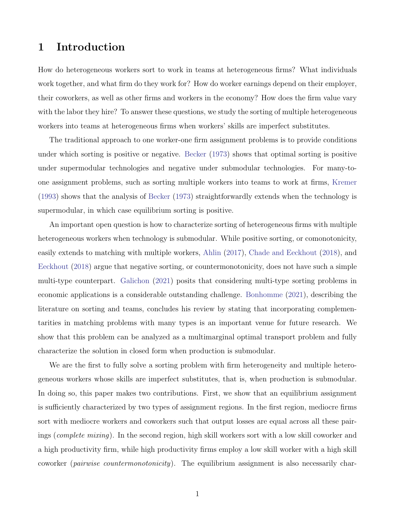### 1 Introduction

How do heterogeneous workers sort to work in teams at heterogeneous firms? What individuals work together, and what firm do they work for? How do worker earnings depend on their employer, their coworkers, as well as other firms and workers in the economy? How does the firm value vary with the labor they hire? To answer these questions, we study the sorting of multiple heterogeneous workers into teams at heterogeneous firms when workers' skills are imperfect substitutes.

The traditional approach to one worker-one firm assignment problems is to provide conditions under which sorting is positive or negative. [Becker](#page-41-0) [\(1973\)](#page-41-0) shows that optimal sorting is positive under supermodular technologies and negative under submodular technologies. For many-toone assignment problems, such as sorting multiple workers into teams to work at firms, [Kremer](#page-44-0) [\(1993\)](#page-44-0) shows that the analysis of [Becker](#page-41-0) [\(1973\)](#page-41-0) straightforwardly extends when the technology is supermodular, in which case equilibrium sorting is positive.

An important open question is how to characterize sorting of heterogeneous firms with multiple heterogeneous workers when technology is submodular. While positive sorting, or comonotonicity, easily extends to matching with multiple workers, [Ahlin](#page-41-1) [\(2017\)](#page-41-1), [Chade and Eeckhout](#page-41-2) [\(2018\)](#page-41-2), and [Eeckhout](#page-42-0) [\(2018\)](#page-42-0) argue that negative sorting, or countermonotonicity, does not have such a simple multi-type counterpart. [Galichon](#page-43-0) [\(2021\)](#page-43-0) posits that considering multi-type sorting problems in economic applications is a considerable outstanding challenge. [Bonhomme](#page-41-3) [\(2021\)](#page-41-3), describing the literature on sorting and teams, concludes his review by stating that incorporating complementarities in matching problems with many types is an important venue for future research. We show that this problem can be analyzed as a multimarginal optimal transport problem and fully characterize the solution in closed form when production is submodular.

We are the first to fully solve a sorting problem with firm heterogeneity and multiple heterogeneous workers whose skills are imperfect substitutes, that is, when production is submodular. In doing so, this paper makes two contributions. First, we show that an equilibrium assignment is sufficiently characterized by two types of assignment regions. In the first region, mediocre firms sort with mediocre workers and coworkers such that output losses are equal across all these pairings (*complete mixing*). In the second region, high skill workers sort with a low skill coworker and a high productivity firm, while high productivity firms employ a low skill worker with a high skill coworker (*pairwise countermonotonicity*). The equilibrium assignment is also necessarily char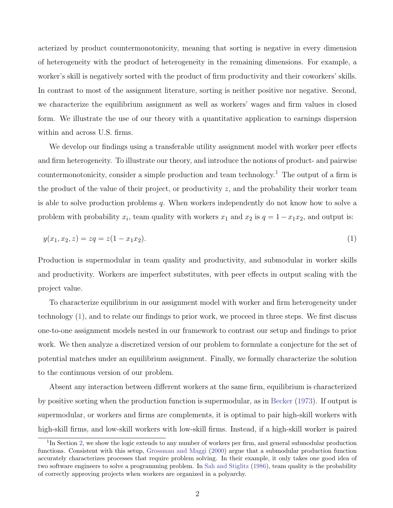acterized by product countermonotonicity, meaning that sorting is negative in every dimension of heterogeneity with the product of heterogeneity in the remaining dimensions. For example, a worker's skill is negatively sorted with the product of firm productivity and their coworkers' skills. In contrast to most of the assignment literature, sorting is neither positive nor negative. Second, we characterize the equilibrium assignment as well as workers' wages and firm values in closed form. We illustrate the use of our theory with a quantitative application to earnings dispersion within and across U.S. firms.

We develop our findings using a transferable utility assignment model with worker peer effects and firm heterogeneity. To illustrate our theory, and introduce the notions of product- and pairwise countermonotonicity, consider a simple production and team technology.<sup>[1](#page-2-0)</sup> The output of a firm is the product of the value of their project, or productivity  $z$ , and the probability their worker team is able to solve production problems  $q$ . When workers independently do not know how to solve a problem with probability  $x_i$ , team quality with workers  $x_1$  and  $x_2$  is  $q = 1 - x_1x_2$ , and output is:

<span id="page-2-1"></span>
$$
y(x_1, x_2, z) = zq = z(1 - x_1 x_2). \tag{1}
$$

Production is supermodular in team quality and productivity, and submodular in worker skills and productivity. Workers are imperfect substitutes, with peer effects in output scaling with the project value.

To characterize equilibrium in our assignment model with worker and firm heterogeneity under technology [\(1\)](#page-2-1), and to relate our findings to prior work, we proceed in three steps. We first discuss one-to-one assignment models nested in our framework to contrast our setup and findings to prior work. We then analyze a discretized version of our problem to formulate a conjecture for the set of potential matches under an equilibrium assignment. Finally, we formally characterize the solution to the continuous version of our problem.

Absent any interaction between different workers at the same firm, equilibrium is characterized by positive sorting when the production function is supermodular, as in [Becker](#page-41-0) [\(1973\)](#page-41-0). If output is supermodular, or workers and firms are complements, it is optimal to pair high-skill workers with high-skill firms, and low-skill workers with low-skill firms. Instead, if a high-skill worker is paired

<span id="page-2-0"></span><sup>&</sup>lt;sup>1</sup>In Section [2,](#page-8-0) we show the logic extends to any number of workers per firm, and general submodular production functions. Consistent with this setup, [Grossman and Maggi](#page-43-1) [\(2000\)](#page-43-1) argue that a submodular production function accurately characterizes processes that require problem solving. In their example, it only takes one good idea of two software engineers to solve a programming problem. In [Sah and Stiglitz](#page-45-0) [\(1986\)](#page-45-0), team quality is the probability of correctly approving projects when workers are organized in a polyarchy.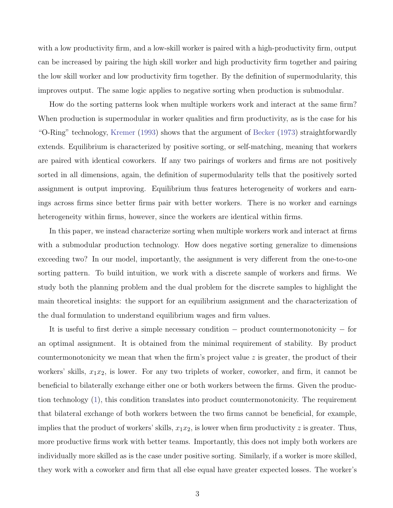with a low productivity firm, and a low-skill worker is paired with a high-productivity firm, output can be increased by pairing the high skill worker and high productivity firm together and pairing the low skill worker and low productivity firm together. By the definition of supermodularity, this improves output. The same logic applies to negative sorting when production is submodular.

How do the sorting patterns look when multiple workers work and interact at the same firm? When production is supermodular in worker qualities and firm productivity, as is the case for his "O-Ring" technology, [Kremer](#page-44-0) [\(1993\)](#page-44-0) shows that the argument of [Becker](#page-41-0) [\(1973\)](#page-41-0) straightforwardly extends. Equilibrium is characterized by positive sorting, or self-matching, meaning that workers are paired with identical coworkers. If any two pairings of workers and firms are not positively sorted in all dimensions, again, the definition of supermodularity tells that the positively sorted assignment is output improving. Equilibrium thus features heterogeneity of workers and earnings across firms since better firms pair with better workers. There is no worker and earnings heterogeneity within firms, however, since the workers are identical within firms.

In this paper, we instead characterize sorting when multiple workers work and interact at firms with a submodular production technology. How does negative sorting generalize to dimensions exceeding two? In our model, importantly, the assignment is very different from the one-to-one sorting pattern. To build intuition, we work with a discrete sample of workers and firms. We study both the planning problem and the dual problem for the discrete samples to highlight the main theoretical insights: the support for an equilibrium assignment and the characterization of the dual formulation to understand equilibrium wages and firm values.

It is useful to first derive a simple necessary condition − product countermonotonicity − for an optimal assignment. It is obtained from the minimal requirement of stability. By product countermonotonicity we mean that when the firm's project value  $z$  is greater, the product of their workers' skills,  $x_1x_2$ , is lower. For any two triplets of worker, coworker, and firm, it cannot be beneficial to bilaterally exchange either one or both workers between the firms. Given the production technology [\(1\)](#page-2-1), this condition translates into product countermonotonicity. The requirement that bilateral exchange of both workers between the two firms cannot be beneficial, for example, implies that the product of workers' skills,  $x_1x_2$ , is lower when firm productivity z is greater. Thus, more productive firms work with better teams. Importantly, this does not imply both workers are individually more skilled as is the case under positive sorting. Similarly, if a worker is more skilled, they work with a coworker and firm that all else equal have greater expected losses. The worker's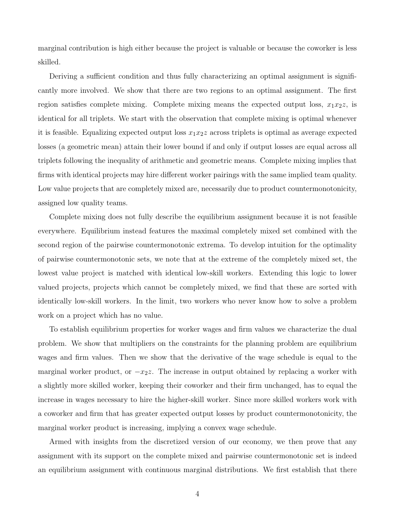marginal contribution is high either because the project is valuable or because the coworker is less skilled.

Deriving a sufficient condition and thus fully characterizing an optimal assignment is significantly more involved. We show that there are two regions to an optimal assignment. The first region satisfies complete mixing. Complete mixing means the expected output loss,  $x_1x_2z$ , is identical for all triplets. We start with the observation that complete mixing is optimal whenever it is feasible. Equalizing expected output loss  $x_1x_2z$  across triplets is optimal as average expected losses (a geometric mean) attain their lower bound if and only if output losses are equal across all triplets following the inequality of arithmetic and geometric means. Complete mixing implies that firms with identical projects may hire different worker pairings with the same implied team quality. Low value projects that are completely mixed are, necessarily due to product countermonotonicity, assigned low quality teams.

Complete mixing does not fully describe the equilibrium assignment because it is not feasible everywhere. Equilibrium instead features the maximal completely mixed set combined with the second region of the pairwise countermonotonic extrema. To develop intuition for the optimality of pairwise countermonotonic sets, we note that at the extreme of the completely mixed set, the lowest value project is matched with identical low-skill workers. Extending this logic to lower valued projects, projects which cannot be completely mixed, we find that these are sorted with identically low-skill workers. In the limit, two workers who never know how to solve a problem work on a project which has no value.

To establish equilibrium properties for worker wages and firm values we characterize the dual problem. We show that multipliers on the constraints for the planning problem are equilibrium wages and firm values. Then we show that the derivative of the wage schedule is equal to the marginal worker product, or  $-x_2z$ . The increase in output obtained by replacing a worker with a slightly more skilled worker, keeping their coworker and their firm unchanged, has to equal the increase in wages necessary to hire the higher-skill worker. Since more skilled workers work with a coworker and firm that has greater expected output losses by product countermonotonicity, the marginal worker product is increasing, implying a convex wage schedule.

Armed with insights from the discretized version of our economy, we then prove that any assignment with its support on the complete mixed and pairwise countermonotonic set is indeed an equilibrium assignment with continuous marginal distributions. We first establish that there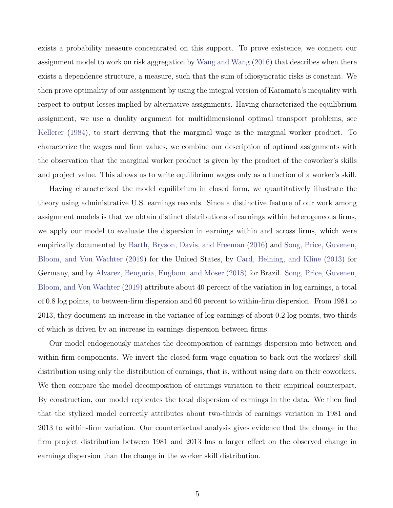exists a probability measure concentrated on this support. To prove existence, we connect our assignment model to work on risk aggregation by [Wang and Wang](#page-45-1) [\(2016\)](#page-45-1) that describes when there exists a dependence structure, a measure, such that the sum of idiosyncratic risks is constant. We then prove optimality of our assignment by using the integral version of Karamata's inequality with respect to output losses implied by alternative assignments. Having characterized the equilibrium assignment, we use a duality argument for multidimensional optimal transport problems, see [Kellerer](#page-44-1) [\(1984\)](#page-44-1), to start deriving that the marginal wage is the marginal worker product. To characterize the wages and firm values, we combine our description of optimal assignments with the observation that the marginal worker product is given by the product of the coworker's skills and project value. This allows us to write equilibrium wages only as a function of a worker's skill.

Having characterized the model equilibrium in closed form, we quantitatively illustrate the theory using administrative U.S. earnings records. Since a distinctive feature of our work among assignment models is that we obtain distinct distributions of earnings within heterogeneous firms, we apply our model to evaluate the dispersion in earnings within and across firms, which were empirically documented by [Barth, Bryson, Davis, and Freeman](#page-41-4) [\(2016\)](#page-41-4) and [Song, Price, Guvenen,](#page-45-2) [Bloom, and Von Wachter](#page-45-2) [\(2019\)](#page-45-2) for the United States, by [Card, Heining, and Kline](#page-41-5) [\(2013\)](#page-41-5) for Germany, and by [Alvarez, Benguria, Engbom, and Moser](#page-41-6) [\(2018\)](#page-41-6) for Brazil. [Song, Price, Guvenen,](#page-45-2) [Bloom, and Von Wachter](#page-45-2) [\(2019\)](#page-45-2) attribute about 40 percent of the variation in log earnings, a total of 0.8 log points, to between-firm dispersion and 60 percent to within-firm dispersion. From 1981 to 2013, they document an increase in the variance of log earnings of about 0.2 log points, two-thirds of which is driven by an increase in earnings dispersion between firms.

Our model endogenously matches the decomposition of earnings dispersion into between and within-firm components. We invert the closed-form wage equation to back out the workers' skill distribution using only the distribution of earnings, that is, without using data on their coworkers. We then compare the model decomposition of earnings variation to their empirical counterpart. By construction, our model replicates the total dispersion of earnings in the data. We then find that the stylized model correctly attributes about two-thirds of earnings variation in 1981 and 2013 to within-firm variation. Our counterfactual analysis gives evidence that the change in the firm project distribution between 1981 and 2013 has a larger effect on the observed change in earnings dispersion than the change in the worker skill distribution.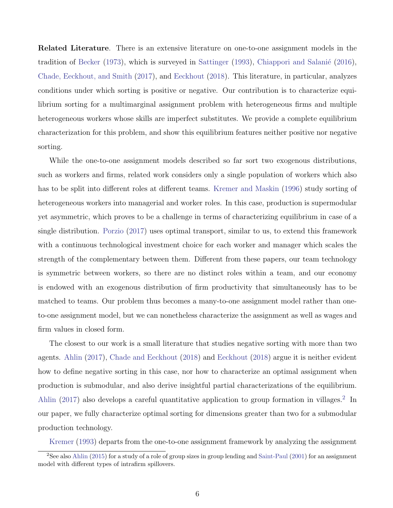Related Literature. There is an extensive literature on one-to-one assignment models in the tradition of [Becker](#page-41-0) [\(1973\)](#page-41-0), which is surveyed in [Sattinger](#page-45-3) [\(1993\)](#page-45-3), Chiappori and Salanié [\(2016\)](#page-42-1), [Chade, Eeckhout, and Smith](#page-41-7) [\(2017\)](#page-41-7), and [Eeckhout](#page-42-0) [\(2018\)](#page-42-0). This literature, in particular, analyzes conditions under which sorting is positive or negative. Our contribution is to characterize equilibrium sorting for a multimarginal assignment problem with heterogeneous firms and multiple heterogeneous workers whose skills are imperfect substitutes. We provide a complete equilibrium characterization for this problem, and show this equilibrium features neither positive nor negative sorting.

While the one-to-one assignment models described so far sort two exogenous distributions, such as workers and firms, related work considers only a single population of workers which also has to be split into different roles at different teams. [Kremer and Maskin](#page-44-2) [\(1996\)](#page-44-2) study sorting of heterogeneous workers into managerial and worker roles. In this case, production is supermodular yet asymmetric, which proves to be a challenge in terms of characterizing equilibrium in case of a single distribution. [Porzio](#page-45-4) [\(2017\)](#page-45-4) uses optimal transport, similar to us, to extend this framework with a continuous technological investment choice for each worker and manager which scales the strength of the complementary between them. Different from these papers, our team technology is symmetric between workers, so there are no distinct roles within a team, and our economy is endowed with an exogenous distribution of firm productivity that simultaneously has to be matched to teams. Our problem thus becomes a many-to-one assignment model rather than oneto-one assignment model, but we can nonetheless characterize the assignment as well as wages and firm values in closed form.

The closest to our work is a small literature that studies negative sorting with more than two agents. [Ahlin](#page-41-1) [\(2017\)](#page-41-1), [Chade and Eeckhout](#page-41-2) [\(2018\)](#page-41-2) and [Eeckhout](#page-42-0) [\(2018\)](#page-42-0) argue it is neither evident how to define negative sorting in this case, nor how to characterize an optimal assignment when production is submodular, and also derive insightful partial characterizations of the equilibrium. [Ahlin](#page-41-1) [\(2017\)](#page-41-1) also develops a careful quantitative application to group formation in villages.<sup>[2](#page-6-0)</sup> In our paper, we fully characterize optimal sorting for dimensions greater than two for a submodular production technology.

[Kremer](#page-44-0) [\(1993\)](#page-44-0) departs from the one-to-one assignment framework by analyzing the assignment

<span id="page-6-0"></span><sup>2</sup>See also [Ahlin](#page-41-8) [\(2015\)](#page-41-8) for a study of a role of group sizes in group lending and [Saint-Paul](#page-45-5) [\(2001\)](#page-45-5) for an assignment model with different types of intrafirm spillovers.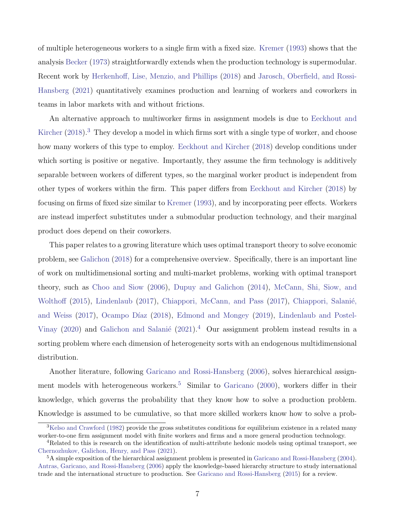of multiple heterogeneous workers to a single firm with a fixed size. [Kremer](#page-44-0) [\(1993\)](#page-44-0) shows that the analysis [Becker](#page-41-0) [\(1973\)](#page-41-0) straightforwardly extends when the production technology is supermodular. Recent work by [Herkenhoff, Lise, Menzio, and Phillips](#page-43-2) [\(2018\)](#page-43-2) and [Jarosch, Oberfield, and Rossi-](#page-43-3)[Hansberg](#page-43-3) [\(2021\)](#page-43-3) quantitatively examines production and learning of workers and coworkers in teams in labor markets with and without frictions.

An alternative approach to multiworker firms in assignment models is due to [Eeckhout and](#page-42-2) [Kircher](#page-42-2)  $(2018).$  $(2018).$ <sup>[3](#page-7-0)</sup> They develop a model in which firms sort with a single type of worker, and choose how many workers of this type to employ. [Eeckhout and Kircher](#page-42-2) [\(2018\)](#page-42-2) develop conditions under which sorting is positive or negative. Importantly, they assume the firm technology is additively separable between workers of different types, so the marginal worker product is independent from other types of workers within the firm. This paper differs from [Eeckhout and Kircher](#page-42-2) [\(2018\)](#page-42-2) by focusing on firms of fixed size similar to [Kremer](#page-44-0) [\(1993\)](#page-44-0), and by incorporating peer effects. Workers are instead imperfect substitutes under a submodular production technology, and their marginal product does depend on their coworkers.

This paper relates to a growing literature which uses optimal transport theory to solve economic problem, see [Galichon](#page-43-4) [\(2018\)](#page-43-4) for a comprehensive overview. Specifically, there is an important line of work on multidimensional sorting and multi-market problems, working with optimal transport theory, such as [Choo and Siow](#page-42-3) [\(2006\)](#page-42-3), [Dupuy and Galichon](#page-42-4) [\(2014\)](#page-42-4), [McCann, Shi, Siow, and](#page-44-3) [Wolthoff](#page-44-3) [\(2015\)](#page-44-3), [Lindenlaub](#page-44-4) [\(2017\)](#page-42-5), [Chiappori, McCann, and Pass](#page-42-5) (2017), Chiappori, Salanié, [and Weiss](#page-42-6) [\(2017\)](#page-42-6), Ocampo Díaz [\(2018\)](#page-44-5), [Edmond and Mongey](#page-42-7) [\(2019\)](#page-42-7), [Lindenlaub and Postel-](#page-44-6)[Vinay](#page-44-6) [\(2020\)](#page-44-6) and Galichon and Salanié [\(2021\)](#page-43-5).<sup>[4](#page-7-1)</sup> Our assignment problem instead results in a sorting problem where each dimension of heterogeneity sorts with an endogenous multidimensional distribution.

Another literature, following [Garicano and Rossi-Hansberg](#page-43-6) [\(2006\)](#page-43-6), solves hierarchical assign-ment models with heterogeneous workers.<sup>[5](#page-7-2)</sup> Similar to [Garicano](#page-43-7) [\(2000\)](#page-43-7), workers differ in their knowledge, which governs the probability that they know how to solve a production problem. Knowledge is assumed to be cumulative, so that more skilled workers know how to solve a prob-

<span id="page-7-0"></span><sup>&</sup>lt;sup>3</sup>[Kelso and Crawford](#page-44-7) [\(1982\)](#page-44-7) provide the gross substitutes conditions for equilibrium existence in a related many worker-to-one firm assignment model with finite workers and firms and a more general production technology.

<span id="page-7-1"></span><sup>&</sup>lt;sup>4</sup>Related to this is research on the identification of multi-attribute hedonic models using optimal transport, see [Chernozhukov, Galichon, Henry, and Pass](#page-41-9) [\(2021\)](#page-41-9).

<span id="page-7-2"></span><sup>5</sup>A simple exposition of the hierarchical assignment problem is presented in [Garicano and Rossi-Hansberg](#page-43-8) [\(2004\)](#page-43-8). [Antras, Garicano, and Rossi-Hansberg](#page-41-10) [\(2006\)](#page-41-10) apply the knowledge-based hierarchy structure to study international trade and the international structure to production. See [Garicano and Rossi-Hansberg](#page-43-9) [\(2015\)](#page-43-9) for a review.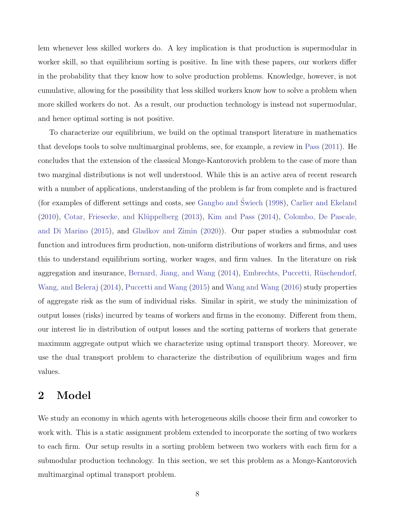lem whenever less skilled workers do. A key implication is that production is supermodular in worker skill, so that equilibrium sorting is positive. In line with these papers, our workers differ in the probability that they know how to solve production problems. Knowledge, however, is not cumulative, allowing for the possibility that less skilled workers know how to solve a problem when more skilled workers do not. As a result, our production technology is instead not supermodular, and hence optimal sorting is not positive.

To characterize our equilibrium, we build on the optimal transport literature in mathematics that develops tools to solve multimarginal problems, see, for example, a review in [Pass](#page-44-8) [\(2011\)](#page-44-8). He concludes that the extension of the classical Monge-Kantorovich problem to the case of more than two marginal distributions is not well understood. While this is an active area of recent research with a number of applications, understanding of the problem is far from complete and is fractured (for examples of different settings and costs, see [Gangbo and](#page-43-10) Swiech ´ [\(1998\)](#page-43-10), [Carlier and Ekeland](#page-41-11) [\(2010\)](#page-41-11), Cotar, Friesecke, and Klüppelberg [\(2013\)](#page-42-8), [Kim and Pass](#page-44-9) [\(2014\)](#page-44-9), [Colombo, De Pascale,](#page-42-9) [and Di Marino](#page-42-9) [\(2015\)](#page-42-9), and [Gladkov and Zimin](#page-43-11) [\(2020\)](#page-43-11)). Our paper studies a submodular cost function and introduces firm production, non-uniform distributions of workers and firms, and uses this to understand equilibrium sorting, worker wages, and firm values. In the literature on risk aggregation and insurance, [Bernard, Jiang, and Wang](#page-41-12) [\(2014\)](#page-41-12), Embrechts, Puccetti, Rüschendorf, [Wang, and Beleraj](#page-42-10) [\(2014\)](#page-42-10), [Puccetti and Wang](#page-45-6) [\(2015\)](#page-45-6) and [Wang and Wang](#page-45-1) [\(2016\)](#page-45-1) study properties of aggregate risk as the sum of individual risks. Similar in spirit, we study the minimization of output losses (risks) incurred by teams of workers and firms in the economy. Different from them, our interest lie in distribution of output losses and the sorting patterns of workers that generate maximum aggregate output which we characterize using optimal transport theory. Moreover, we use the dual transport problem to characterize the distribution of equilibrium wages and firm values.

### <span id="page-8-0"></span>2 Model

We study an economy in which agents with heterogeneous skills choose their firm and coworker to work with. This is a static assignment problem extended to incorporate the sorting of two workers to each firm. Our setup results in a sorting problem between two workers with each firm for a submodular production technology. In this section, we set this problem as a Monge-Kantorovich multimarginal optimal transport problem.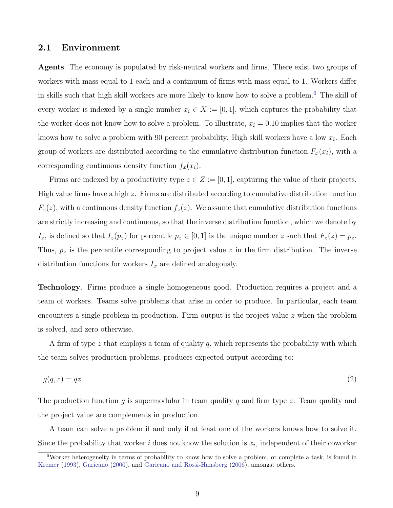### 2.1 Environment

Agents. The economy is populated by risk-neutral workers and firms. There exist two groups of workers with mass equal to 1 each and a continuum of firms with mass equal to 1. Workers differ in skills such that high skill workers are more likely to know how to solve a problem.[6](#page-9-0) The skill of every worker is indexed by a single number  $x_i \in X := [0, 1]$ , which captures the probability that the worker does not know how to solve a problem. To illustrate,  $x_i = 0.10$  implies that the worker knows how to solve a problem with 90 percent probability. High skill workers have a low  $x_i$ . Each group of workers are distributed according to the cumulative distribution function  $F_x(x_i)$ , with a corresponding continuous density function  $f_x(x_i)$ .

Firms are indexed by a productivity type  $z \in Z := [0, 1]$ , capturing the value of their projects. High value firms have a high  $z$ . Firms are distributed according to cumulative distribution function  $F_z(z)$ , with a continuous density function  $f_z(z)$ . We assume that cumulative distribution functions are strictly increasing and continuous, so that the inverse distribution function, which we denote by  $I_z$ , is defined so that  $I_z(p_z)$  for percentile  $p_z \in [0,1]$  is the unique number z such that  $F_z(z) = p_z$ . Thus,  $p_z$  is the percentile corresponding to project value z in the firm distribution. The inverse distribution functions for workers  $I_x$  are defined analogously.

Technology. Firms produce a single homogeneous good. Production requires a project and a team of workers. Teams solve problems that arise in order to produce. In particular, each team encounters a single problem in production. Firm output is the project value  $z$  when the problem is solved, and zero otherwise.

A firm of type  $z$  that employs a team of quality  $q$ , which represents the probability with which the team solves production problems, produces expected output according to:

<span id="page-9-1"></span>
$$
g(q, z) = qz.\tag{2}
$$

The production function q is supermodular in team quality q and firm type z. Team quality and the project value are complements in production.

A team can solve a problem if and only if at least one of the workers knows how to solve it. Since the probability that worker  $i$  does not know the solution is  $x_i$ , independent of their coworker

<span id="page-9-0"></span><sup>6</sup>Worker heterogeneity in terms of probability to know how to solve a problem, or complete a task, is found in [Kremer](#page-44-0) [\(1993\)](#page-44-0), [Garicano](#page-43-7) [\(2000\)](#page-43-7), and [Garicano and Rossi-Hansberg](#page-43-6) [\(2006\)](#page-43-6), amongst others.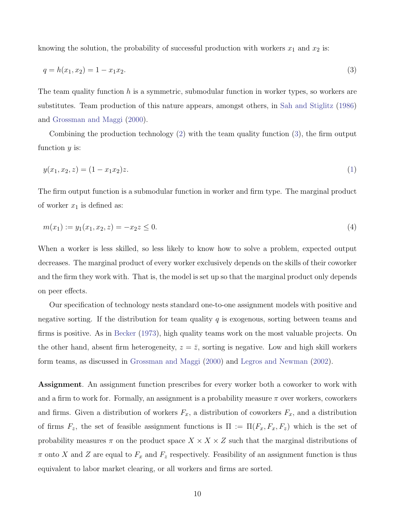knowing the solution, the probability of successful production with workers  $x_1$  and  $x_2$  is:

<span id="page-10-0"></span>
$$
q = h(x_1, x_2) = 1 - x_1 x_2. \tag{3}
$$

The team quality function  $h$  is a symmetric, submodular function in worker types, so workers are substitutes. Team production of this nature appears, amongst others, in [Sah and Stiglitz](#page-45-0) [\(1986\)](#page-45-0) and [Grossman and Maggi](#page-43-1) [\(2000\)](#page-43-1).

<span id="page-10-1"></span>Combining the production technology [\(2\)](#page-9-1) with the team quality function [\(3\)](#page-10-0), the firm output function  $y$  is:

$$
y(x_1, x_2, z) = (1 - x_1 x_2)z.
$$
\n<sup>(1)</sup>

The firm output function is a submodular function in worker and firm type. The marginal product of worker  $x_1$  is defined as:

$$
m(x_1) := y_1(x_1, x_2, z) = -x_2 z \le 0.
$$
\n<sup>(4)</sup>

When a worker is less skilled, so less likely to know how to solve a problem, expected output decreases. The marginal product of every worker exclusively depends on the skills of their coworker and the firm they work with. That is, the model is set up so that the marginal product only depends on peer effects.

Our specification of technology nests standard one-to-one assignment models with positive and negative sorting. If the distribution for team quality  $q$  is exogenous, sorting between teams and firms is positive. As in [Becker](#page-41-0) [\(1973\)](#page-41-0), high quality teams work on the most valuable projects. On the other hand, absent firm heterogeneity,  $z = \overline{z}$ , sorting is negative. Low and high skill workers form teams, as discussed in [Grossman and Maggi](#page-43-1) [\(2000\)](#page-43-1) and [Legros and Newman](#page-44-10) [\(2002\)](#page-44-10).

Assignment. An assignment function prescribes for every worker both a coworker to work with and a firm to work for. Formally, an assignment is a probability measure  $\pi$  over workers, coworkers and firms. Given a distribution of workers  $F_x$ , a distribution of coworkers  $F_x$ , and a distribution of firms  $F_z$ , the set of feasible assignment functions is  $\Pi := \Pi(F_x, F_x, F_z)$  which is the set of probability measures  $\pi$  on the product space  $X \times X \times Z$  such that the marginal distributions of  $\pi$  onto X and Z are equal to  $F_x$  and  $F_z$  respectively. Feasibility of an assignment function is thus equivalent to labor market clearing, or all workers and firms are sorted.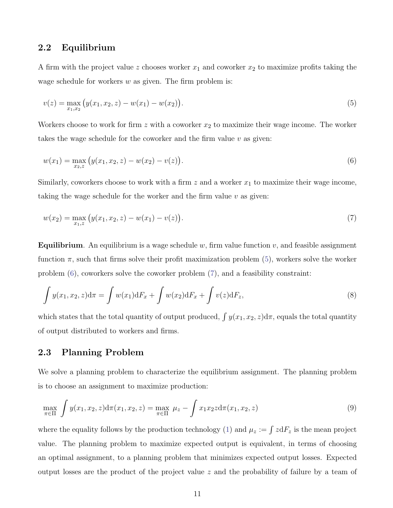### 2.2 Equilibrium

A firm with the project value z chooses worker  $x_1$  and coworker  $x_2$  to maximize profits taking the wage schedule for workers  $w$  as given. The firm problem is:

<span id="page-11-0"></span>
$$
v(z) = \max_{x_1, x_2} (y(x_1, x_2, z) - w(x_1) - w(x_2)).
$$
\n(5)

Workers choose to work for firm  $z$  with a coworker  $x_2$  to maximize their wage income. The worker takes the wage schedule for the coworker and the firm value  $v$  as given:

<span id="page-11-1"></span>
$$
w(x_1) = \max_{x_2, z} (y(x_1, x_2, z) - w(x_2) - v(z)).
$$
\n(6)

Similarly, coworkers choose to work with a firm  $z$  and a worker  $x_1$  to maximize their wage income, taking the wage schedule for the worker and the firm value  $v$  as given:

<span id="page-11-2"></span>
$$
w(x_2) = \max_{x_1, z} (y(x_1, x_2, z) - w(x_1) - v(z)).
$$
\n(7)

**Equilibrium.** An equilibrium is a wage schedule w, firm value function  $v$ , and feasible assignment function  $\pi$ , such that firms solve their profit maximization problem [\(5\)](#page-11-0), workers solve the worker problem [\(6\)](#page-11-1), coworkers solve the coworker problem [\(7\)](#page-11-2), and a feasibility constraint:

$$
\int y(x_1, x_2, z) d\pi = \int w(x_1) dF_x + \int w(x_2) dF_x + \int v(z) dF_z,
$$
\n(8)

which states that the total quantity of output produced,  $\int y(x_1, x_2, z)d\pi$ , equals the total quantity of output distributed to workers and firms.

### 2.3 Planning Problem

We solve a planning problem to characterize the equilibrium assignment. The planning problem is to choose an assignment to maximize production:

<span id="page-11-3"></span>
$$
\max_{\pi \in \Pi} \int y(x_1, x_2, z) d\pi(x_1, x_2, z) = \max_{\pi \in \Pi} \mu_z - \int x_1 x_2 z d\pi(x_1, x_2, z)
$$
\n(9)

where the equality follows by the production technology [\(1\)](#page-2-1) and  $\mu_z := \int z dF_z$  is the mean project value. The planning problem to maximize expected output is equivalent, in terms of choosing an optimal assignment, to a planning problem that minimizes expected output losses. Expected output losses are the product of the project value z and the probability of failure by a team of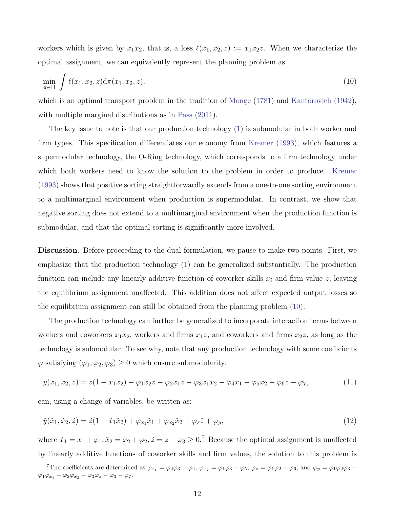workers which is given by  $x_1x_2$ , that is, a loss  $\ell(x_1, x_2, z) := x_1x_2z$ . When we characterize the optimal assignment, we can equivalently represent the planning problem as:

<span id="page-12-0"></span>
$$
\min_{\pi \in \Pi} \int \ell(x_1, x_2, z) d\pi(x_1, x_2, z), \tag{10}
$$

which is an optimal transport problem in the tradition of [Monge](#page-44-11)  $(1781)$  and [Kantorovich](#page-43-12)  $(1942)$ , with multiple marginal distributions as in [Pass](#page-44-8)  $(2011)$ .

The key issue to note is that our production technology [\(1\)](#page-2-1) is submodular in both worker and firm types. This specification differentiates our economy from [Kremer](#page-44-0) [\(1993\)](#page-44-0), which features a supermodular technology, the O-Ring technology, which corresponds to a firm technology under which both workers need to know the solution to the problem in order to produce. [Kremer](#page-44-0) [\(1993\)](#page-44-0) shows that positive sorting straightforwardly extends from a one-to-one sorting environment to a multimarginal environment when production is supermodular. In contrast, we show that negative sorting does not extend to a multimarginal environment when the production function is submodular, and that the optimal sorting is significantly more involved.

Discussion. Before proceeding to the dual formulation, we pause to make two points. First, we emphasize that the production technology [\(1\)](#page-2-1) can be generalized substantially. The production function can include any linearly additive function of coworker skills  $x_i$  and firm value z, leaving the equilibrium assignment unaffected. This addition does not affect expected output losses so the equilibrium assignment can still be obtained from the planning problem [\(10\)](#page-12-0).

The production technology can further be generalized to incorporate interaction terms between workers and coworkers  $x_1x_2$ , workers and firms  $x_1z$ , and coworkers and firms  $x_2z$ , as long as the technology is submodular. To see why, note that any production technology with some coefficients  $\varphi$  satisfying  $(\varphi_1,\varphi_2,\varphi_3)\geq 0$  which ensure submodularity:

$$
y(x_1, x_2, z) = z(1 - x_1 x_2) - \varphi_1 x_2 z - \varphi_2 x_1 z - \varphi_3 x_1 x_2 - \varphi_4 x_1 - \varphi_5 x_2 - \varphi_6 z - \varphi_7,\tag{11}
$$

can, using a change of variables, be written as:

$$
\tilde{y}(\tilde{x}_1, \tilde{x}_2, \tilde{z}) = \tilde{z}(1 - \tilde{x}_1 \tilde{x}_2) + \varphi_{x_1} \tilde{x}_1 + \varphi_{x_2} \tilde{x}_2 + \varphi_z \tilde{z} + \varphi_y,\tag{12}
$$

where  $\tilde{x}_1 = x_1 + \varphi_1$ ,  $\tilde{x}_2 = x_2 + \varphi_2$ ,  $\tilde{z} = z + \varphi_3 \geq 0$ .<sup>[7](#page-12-1)</sup> Because the optimal assignment is unaffected by linearly additive functions of coworker skills and firm values, the solution to this problem is

<span id="page-12-1"></span><sup>&</sup>lt;sup>7</sup>The coefficients are determined as  $\varphi_{x_1} = \varphi_2 \varphi_3 - \varphi_4$ ,  $\varphi_{x_2} = \varphi_1 \varphi_3 - \varphi_5$ ,  $\varphi_z = \varphi_1 \varphi_2 - \varphi_6$ , and  $\varphi_y = \varphi_1 \varphi_2 \varphi_3 - \varphi_6$  $\varphi_1\varphi_{x_1} - \varphi_2\varphi_{x_2} - \varphi_3\varphi_z - \varphi_3 - \varphi_7.$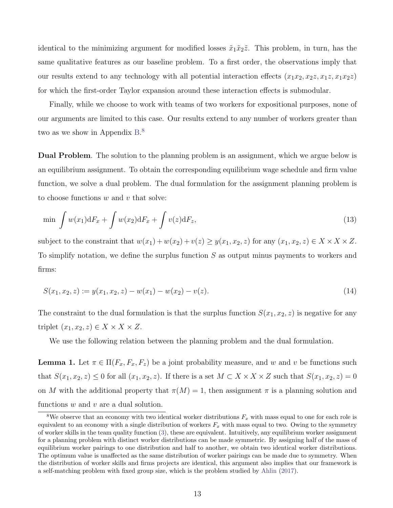identical to the minimizing argument for modified losses  $\tilde{x}_1\tilde{x}_2\tilde{z}$ . This problem, in turn, has the same qualitative features as our baseline problem. To a first order, the observations imply that our results extend to any technology with all potential interaction effects  $(x_1x_2, x_2z, x_1z, x_1x_2z)$ for which the first-order Taylor expansion around these interaction effects is submodular.

Finally, while we choose to work with teams of two workers for expositional purposes, none of our arguments are limited to this case. Our results extend to any number of workers greater than two as we show in Appendix [B.](#page-57-0)<sup>[8](#page-13-0)</sup>

Dual Problem. The solution to the planning problem is an assignment, which we argue below is an equilibrium assignment. To obtain the corresponding equilibrium wage schedule and firm value function, we solve a dual problem. The dual formulation for the assignment planning problem is to choose functions  $w$  and  $v$  that solve:

$$
\min \int w(x_1) \mathrm{d}F_x + \int w(x_2) \mathrm{d}F_x + \int v(z) \mathrm{d}F_z,\tag{13}
$$

<span id="page-13-2"></span>subject to the constraint that  $w(x_1) + w(x_2) + v(z) \ge y(x_1, x_2, z)$  for any  $(x_1, x_2, z) \in X \times X \times Z$ . To simplify notation, we define the surplus function S as output minus payments to workers and firms:

$$
S(x_1, x_2, z) := y(x_1, x_2, z) - w(x_1) - w(x_2) - v(z).
$$
\n(14)

The constraint to the dual formulation is that the surplus function  $S(x_1, x_2, z)$  is negative for any triplet  $(x_1, x_2, z) \in X \times X \times Z$ .

We use the following relation between the planning problem and the dual formulation.

<span id="page-13-1"></span>**Lemma 1.** Let  $\pi \in \Pi(F_x, F_x, F_z)$  be a joint probability measure, and w and v be functions such that  $S(x_1, x_2, z) \leq 0$  for all  $(x_1, x_2, z)$ . If there is a set  $M \subset X \times X \times Z$  such that  $S(x_1, x_2, z) = 0$ on M with the additional property that  $\pi(M) = 1$ , then assignment  $\pi$  is a planning solution and functions  $w$  and  $v$  are a dual solution.

<span id="page-13-0"></span><sup>&</sup>lt;sup>8</sup>We observe that an economy with two identical worker distributions  $F_x$  with mass equal to one for each role is equivalent to an economy with a single distribution of workers  $F_x$  with mass equal to two. Owing to the symmetry of worker skills in the team quality function [\(3\)](#page-10-0), these are equivalent. Intuitively, any equilibrium worker assignment for a planning problem with distinct worker distributions can be made symmetric. By assigning half of the mass of equilibrium worker pairings to one distribution and half to another, we obtain two identical worker distributions. The optimum value is unaffected as the same distribution of worker pairings can be made due to symmetry. When the distribution of worker skills and firms projects are identical, this argument also implies that our framework is a self-matching problem with fixed group size, which is the problem studied by [Ahlin](#page-41-1) [\(2017\)](#page-41-1).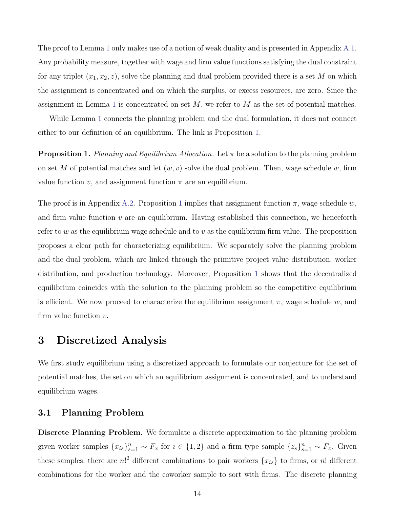The proof to Lemma [1](#page-13-1) only makes use of a notion of weak duality and is presented in Appendix [A.1.](#page-46-0) Any probability measure, together with wage and firm value functions satisfying the dual constraint for any triplet  $(x_1, x_2, z)$ , solve the planning and dual problem provided there is a set M on which the assignment is concentrated and on which the surplus, or excess resources, are zero. Since the assignment in Lemma [1](#page-13-1) is concentrated on set  $M$ , we refer to  $M$  as the set of potential matches.

While Lemma [1](#page-13-1) connects the planning problem and the dual formulation, it does not connect either to our definition of an equilibrium. The link is Proposition [1.](#page-14-0)

<span id="page-14-0"></span>**Proposition 1.** Planning and Equilibrium Allocation. Let  $\pi$  be a solution to the planning problem on set M of potential matches and let  $(w, v)$  solve the dual problem. Then, wage schedule w, firm value function v, and assignment function  $\pi$  are an equilibrium.

The proof is in Appendix [A.2.](#page-47-0) Proposition [1](#page-14-0) implies that assignment function  $\pi$ , wage schedule w, and firm value function  $v$  are an equilibrium. Having established this connection, we henceforth refer to w as the equilibrium wage schedule and to v as the equilibrium firm value. The proposition proposes a clear path for characterizing equilibrium. We separately solve the planning problem and the dual problem, which are linked through the primitive project value distribution, worker distribution, and production technology. Moreover, Proposition [1](#page-14-0) shows that the decentralized equilibrium coincides with the solution to the planning problem so the competitive equilibrium is efficient. We now proceed to characterize the equilibrium assignment  $\pi$ , wage schedule w, and firm value function  $v$ .

### <span id="page-14-1"></span>3 Discretized Analysis

We first study equilibrium using a discretized approach to formulate our conjecture for the set of potential matches, the set on which an equilibrium assignment is concentrated, and to understand equilibrium wages.

### 3.1 Planning Problem

Discrete Planning Problem. We formulate a discrete approximation to the planning problem given worker samples  ${x_{is}}_{s=1}^n \sim F_x$  for  $i \in \{1,2\}$  and a firm type sample  ${z_s}_{s=1}^n \sim F_z$ . Given these samples, there are  $n!^2$  different combinations to pair workers  $\{x_{is}\}\$ to firms, or n! different combinations for the worker and the coworker sample to sort with firms. The discrete planning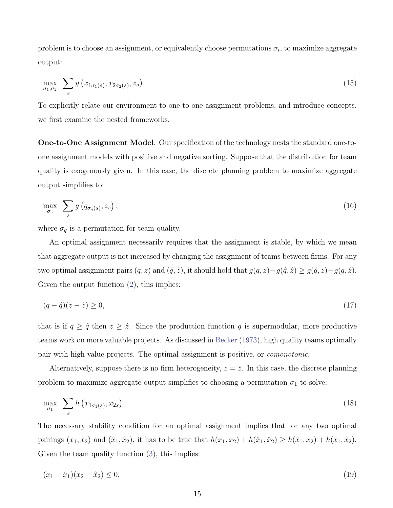problem is to choose an assignment, or equivalently choose permutations  $\sigma_i$ , to maximize aggregate output:

$$
\max_{\sigma_1, \sigma_2} \sum_s y\left(x_{1\sigma_1(s)}, x_{2\sigma_2(s)}, z_s\right). \tag{15}
$$

To explicitly relate our environment to one-to-one assignment problems, and introduce concepts, we first examine the nested frameworks.

One-to-One Assignment Model. Our specification of the technology nests the standard one-toone assignment models with positive and negative sorting. Suppose that the distribution for team quality is exogenously given. In this case, the discrete planning problem to maximize aggregate output simplifies to:

$$
\max_{\sigma_q} \sum_s g\left(q_{\sigma_q(s)}, z_s\right),\tag{16}
$$

where  $\sigma_q$  is a permutation for team quality.

An optimal assignment necessarily requires that the assignment is stable, by which we mean that aggregate output is not increased by changing the assignment of teams between firms. For any two optimal assignment pairs  $(q, z)$  and  $(\hat{q}, \hat{z})$ , it should hold that  $g(q, z) + g(\hat{q}, \hat{z}) \ge g(\hat{q}, z) + g(q, \hat{z})$ . Given the output function [\(2\)](#page-9-1), this implies:

$$
(q - \hat{q})(z - \hat{z}) \ge 0,\tag{17}
$$

that is if  $q \geq \hat{q}$  then  $z \geq \hat{z}$ . Since the production function g is supermodular, more productive teams work on more valuable projects. As discussed in [Becker](#page-41-0) [\(1973\)](#page-41-0), high quality teams optimally pair with high value projects. The optimal assignment is positive, or comonotonic.

Alternatively, suppose there is no firm heterogeneity,  $z = \overline{z}$ . In this case, the discrete planning problem to maximize aggregate output simplifies to choosing a permutation  $\sigma_1$  to solve:

$$
\max_{\sigma_1} \sum_s h\left(x_{1\sigma_1(s)}, x_{2s}\right). \tag{18}
$$

The necessary stability condition for an optimal assignment implies that for any two optimal pairings  $(x_1, x_2)$  and  $(\hat{x}_1, \hat{x}_2)$ , it has to be true that  $h(x_1, x_2) + h(\hat{x}_1, \hat{x}_2) \ge h(\hat{x}_1, x_2) + h(x_1, \hat{x}_2)$ . Given the team quality function [\(3\)](#page-10-0), this implies:

$$
(x_1 - \hat{x}_1)(x_2 - \hat{x}_2) \le 0. \tag{19}
$$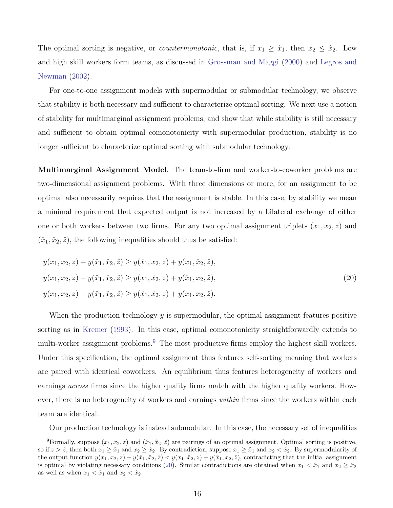The optimal sorting is negative, or *countermonotonic*, that is, if  $x_1 \geq \hat{x}_1$ , then  $x_2 \leq \hat{x}_2$ . Low and high skill workers form teams, as discussed in [Grossman and Maggi](#page-43-1) [\(2000\)](#page-43-1) and [Legros and](#page-44-10) [Newman](#page-44-10) [\(2002\)](#page-44-10).

For one-to-one assignment models with supermodular or submodular technology, we observe that stability is both necessary and sufficient to characterize optimal sorting. We next use a notion of stability for multimarginal assignment problems, and show that while stability is still necessary and sufficient to obtain optimal comonotonicity with supermodular production, stability is no longer sufficient to characterize optimal sorting with submodular technology.

Multimarginal Assignment Model. The team-to-firm and worker-to-coworker problems are two-dimensional assignment problems. With three dimensions or more, for an assignment to be optimal also necessarily requires that the assignment is stable. In this case, by stability we mean a minimal requirement that expected output is not increased by a bilateral exchange of either one or both workers between two firms. For any two optimal assignment triplets  $(x_1, x_2, z)$  and  $(\hat{x}_1, \hat{x}_2, \hat{z})$ , the following inequalities should thus be satisfied:

<span id="page-16-1"></span>
$$
y(x_1, x_2, z) + y(\hat{x}_1, \hat{x}_2, \hat{z}) \ge y(\hat{x}_1, x_2, z) + y(x_1, \hat{x}_2, \hat{z}),
$$
  
\n
$$
y(x_1, x_2, z) + y(\hat{x}_1, \hat{x}_2, \hat{z}) \ge y(x_1, \hat{x}_2, z) + y(\hat{x}_1, x_2, \hat{z}),
$$
  
\n
$$
y(x_1, x_2, z) + y(\hat{x}_1, \hat{x}_2, \hat{z}) \ge y(\hat{x}_1, \hat{x}_2, z) + y(x_1, x_2, \hat{z}).
$$
\n(20)

When the production technology  $y$  is supermodular, the optimal assignment features positive sorting as in [Kremer](#page-44-0) [\(1993\)](#page-44-0). In this case, optimal comonotonicity straightforwardly extends to multi-worker assignment problems.<sup>[9](#page-16-0)</sup> The most productive firms employ the highest skill workers. Under this specification, the optimal assignment thus features self-sorting meaning that workers are paired with identical coworkers. An equilibrium thus features heterogeneity of workers and earnings *across* firms since the higher quality firms match with the higher quality workers. However, there is no heterogeneity of workers and earnings *within* firms since the workers within each team are identical.

<span id="page-16-0"></span>Our production technology is instead submodular. In this case, the necessary set of inequalities

<sup>&</sup>lt;sup>9</sup>Formally, suppose  $(x_1, x_2, z)$  and  $(\hat{x}_1, \hat{x}_2, \hat{z})$  are pairings of an optimal assignment. Optimal sorting is positive, so if  $z > \hat{z}$ , then both  $x_1 \geq \hat{x}_1$  and  $x_2 \geq \hat{x}_2$ . By contradiction, suppose  $x_1 \geq \hat{x}_1$  and  $x_2 < \hat{x}_2$ . By supermodularity of the output function  $y(x_1, x_2, z) + y(\hat{x}_1, \hat{x}_2, \hat{z}) < y(x_1, \hat{x}_2, z) + y(\hat{x}_1, x_2, \hat{z})$ , contradicting that the initial assignment is optimal by violating necessary conditions [\(20\)](#page-16-1). Similar contradictions are obtained when  $x_1 < \hat{x}_1$  and  $x_2 \ge \hat{x}_2$ as well as when  $x_1 < \hat{x}_1$  and  $x_2 < \hat{x}_2$ .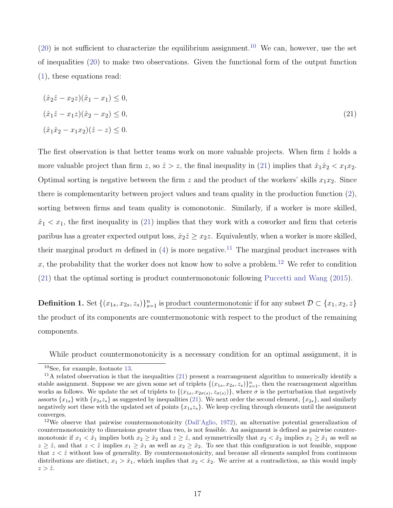[\(20\)](#page-16-1) is not sufficient to characterize the equilibrium assignment.<sup>[10](#page-17-0)</sup> We can, however, use the set of inequalities [\(20\)](#page-16-1) to make two observations. Given the functional form of the output function [\(1\)](#page-2-1), these equations read:

<span id="page-17-1"></span>
$$
(\hat{x}_2 \hat{z} - x_2 z)(\hat{x}_1 - x_1) \le 0,
$$
  
\n
$$
(\hat{x}_1 \hat{z} - x_1 z)(\hat{x}_2 - x_2) \le 0,
$$
  
\n
$$
(\hat{x}_1 \hat{x}_2 - x_1 x_2)(\hat{z} - z) \le 0.
$$
\n(21)

The first observation is that better teams work on more valuable projects. When firm  $\hat{z}$  holds a more valuable project than firm z, so  $\hat{z} > z$ , the final inequality in [\(21\)](#page-17-1) implies that  $\hat{x}_1 \hat{x}_2 < x_1 x_2$ . Optimal sorting is negative between the firm z and the product of the workers' skills  $x_1x_2$ . Since there is complementarity between project values and team quality in the production function [\(2\)](#page-9-1), sorting between firms and team quality is comonotonic. Similarly, if a worker is more skilled,  $\hat{x}_1 \leq x_1$ , the first inequality in [\(21\)](#page-17-1) implies that they work with a coworker and firm that ceteris paribus has a greater expected output loss,  $\hat{x}_2 \hat{z} \geq x_2 z$ . Equivalently, when a worker is more skilled, their marginal product m defined in [\(4\)](#page-10-1) is more negative.<sup>[11](#page-17-2)</sup> The marginal product increases with x, the probability that the worker does not know how to solve a problem.<sup>[12](#page-17-3)</sup> We refer to condition [\(21\)](#page-17-1) that the optimal sorting is product countermonotonic following [Puccetti and Wang](#page-45-6) [\(2015\)](#page-45-6).

**Definition 1.** Set  $\{(x_{1s}, x_{2s}, z_s)\}_{s=1}^n$  is <u>product countermonotonic</u> if for any subset  $\mathcal{D} \subset \{x_1, x_2, z\}$ the product of its components are countermonotonic with respect to the product of the remaining components.

While product countermonotonicity is a necessary condition for an optimal assignment, it is

<span id="page-17-2"></span><span id="page-17-0"></span><sup>10</sup>See, for example, footnote [13.](#page-18-0)

 $11$ A related observation is that the inequalities [\(21\)](#page-17-1) present a rearrangement algorithm to numerically identify a stable assignment. Suppose we are given some set of triplets  $\{(x_{1s}, x_{2s}, z_s)\}_{s=1}^n$ , then the rearrangement algorithm works as follows. We update the set of triplets to  $\{(x_{1s}, x_{2\sigma(s)}, z_{\sigma(s)})\}$ , where  $\sigma$  is the perturbation that negatively assorts  ${x_{1s}}$  with  ${x_{2s}z_s}$  as suggested by inequalities [\(21\)](#page-17-1). We next order the second element,  ${x_{2s}}$ , and similarly negatively sort these with the updated set of points  $\{x_1, x_2\}$ . We keep cycling through elements until the assignment converges.

<span id="page-17-3"></span><sup>&</sup>lt;sup>12</sup>We observe that pairwise countermonotonicity [\(Dall'Aglio,](#page-42-11) [1972\)](#page-42-11), an alternative potential generalization of countermonotonicity to dimensions greater than two, is not feasible. An assignment is defined as pairwise countermonotonic if  $x_1 < \hat{x}_1$  implies both  $x_2 \geq \hat{x}_2$  and  $z \geq \hat{z}$ , and symmetrically that  $x_2 < \hat{x}_2$  implies  $x_1 \geq \hat{x}_1$  as well as  $z \geq \hat{z}$ , and that  $z < \hat{z}$  implies  $x_1 \geq \hat{x}_1$  as well as  $x_2 \geq \hat{x}_2$ . To see that this configuration is not feasible, suppose that  $z < \hat{z}$  without loss of generality. By countermonotonicity, and because all elements sampled from continuous distributions are distinct,  $x_1 > \hat{x}_1$ , which implies that  $x_2 < \hat{x}_2$ . We arrive at a contradiction, as this would imply  $z > \hat{z}$ .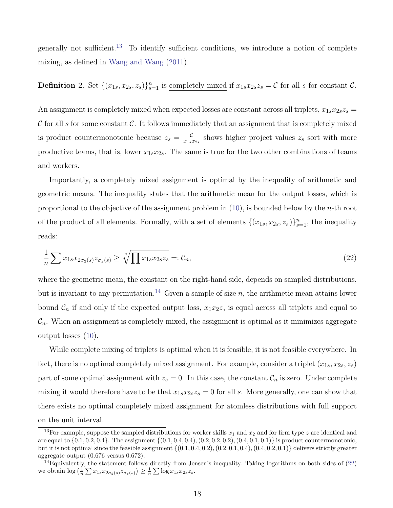generally not sufficient.[13](#page-18-0) To identify sufficient conditions, we introduce a notion of complete mixing, as defined in [Wang and Wang](#page-45-7) [\(2011\)](#page-45-7).

### **Definition 2.** Set  $\{(x_{1s}, x_{2s}, z_s)\}_{s=1}^n$  is <u>completely mixed</u> if  $x_{1s}x_{2s}z_s = C$  for all s for constant C.

An assignment is completely mixed when expected losses are constant across all triplets,  $x_{1s}x_{2s}z_s =$ C for all s for some constant C. It follows immediately that an assignment that is completely mixed is product countermonotonic because  $z_s = \frac{c}{x_{1s}}$  $\frac{C}{x_{1s}x_{2s}}$  shows higher project values  $z_s$  sort with more productive teams, that is, lower  $x_{1s}x_{2s}$ . The same is true for the two other combinations of teams and workers.

Importantly, a completely mixed assignment is optimal by the inequality of arithmetic and geometric means. The inequality states that the arithmetic mean for the output losses, which is proportional to the objective of the assignment problem in  $(10)$ , is bounded below by the *n*-th root of the product of all elements. Formally, with a set of elements  $\{(x_{1s}, x_{2s}, z_s)\}_{s=1}^n$ , the inequality reads:

<span id="page-18-2"></span>
$$
\frac{1}{n}\sum x_{1s}x_{2\sigma_2(s)}z_{\sigma_z(s)} \ge \sqrt[n]{\prod x_{1s}x_{2s}z_s} =: \mathcal{C}_n,\tag{22}
$$

where the geometric mean, the constant on the right-hand side, depends on sampled distributions, but is invariant to any permutation.<sup>[14](#page-18-1)</sup> Given a sample of size n, the arithmetic mean attains lower bound  $\mathcal{C}_n$  if and only if the expected output loss,  $x_1x_2z$ , is equal across all triplets and equal to  $\mathcal{C}_n$ . When an assignment is completely mixed, the assignment is optimal as it minimizes aggregate output losses [\(10\)](#page-12-0).

While complete mixing of triplets is optimal when it is feasible, it is not feasible everywhere. In fact, there is no optimal completely mixed assignment. For example, consider a triplet  $(x_{1s}, x_{2s}, z_s)$ part of some optimal assignment with  $z_s = 0$ . In this case, the constant  $\mathcal{C}_n$  is zero. Under complete mixing it would therefore have to be that  $x_{1s}x_{2s}z_s = 0$  for all s. More generally, one can show that there exists no optimal completely mixed assignment for atomless distributions with full support on the unit interval.

<span id="page-18-0"></span><sup>&</sup>lt;sup>13</sup>For example, suppose the sampled distributions for worker skills  $x_1$  and  $x_2$  and for firm type z are identical and are equal to  $\{0.1, 0.2, 0.4\}$ . The assignment  $\{(0.1, 0.4, 0.4), (0.2, 0.2, 0.2), (0.4, 0.1, 0.1)\}$  is product countermonotonic, but it is not optimal since the feasible assignment  $\{(0.1, 0.4, 0.2), (0.2, 0.1, 0.4), (0.4, 0.2, 0.1)\}\$  delivers strictly greater aggregate output (0.676 versus 0.672).

<span id="page-18-1"></span> $14$ Equivalently, the statement follows directly from Jensen's inequality. Taking logarithms on both sides of  $(22)$ we obtain  $\log\left(\frac{1}{n}\sum x_{1s}x_{2\sigma_2(s)}z_{\sigma_z(s)}\right) \geq \frac{1}{n}\sum \log x_{1s}x_{2s}z_s.$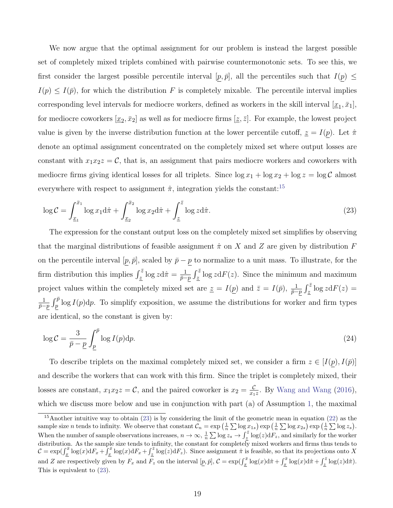We now argue that the optimal assignment for our problem is instead the largest possible set of completely mixed triplets combined with pairwise countermonotonic sets. To see this, we first consider the largest possible percentile interval  $[p, \bar{p}]$ , all the percentiles such that  $I(p) \leq$  $I(p) \leq I(\bar{p})$ , for which the distribution F is completely mixable. The percentile interval implies corresponding level intervals for mediocre workers, defined as workers in the skill interval  $[\underline{x}_1, \bar{x}_1]$ , for mediocre coworkers  $[\underline{x}_2, \bar{x}_2]$  as well as for mediocre firms  $[\underline{z}, \bar{z}]$ . For example, the lowest project value is given by the inverse distribution function at the lower percentile cutoff,  $z = I(p)$ . Let  $\hat{\pi}$ denote an optimal assignment concentrated on the completely mixed set where output losses are constant with  $x_1x_2z = C$ , that is, an assignment that pairs mediocre workers and coworkers with mediocre firms giving identical losses for all triplets. Since  $\log x_1 + \log x_2 + \log z = \log \mathcal{C}$  almost everywhere with respect to assignment  $\hat{\pi}$ , integration yields the constant:<sup>[15](#page-19-0)</sup>

<span id="page-19-1"></span>
$$
\log \mathcal{C} = \int_{\underline{x}_1}^{\bar{x}_1} \log x_1 \mathrm{d}\hat{\pi} + \int_{\underline{x}_2}^{\bar{x}_2} \log x_2 \mathrm{d}\hat{\pi} + \int_{\underline{z}}^{\bar{z}} \log z \mathrm{d}\hat{\pi}.
$$
 (23)

The expression for the constant output loss on the completely mixed set simplifies by observing that the marginal distributions of feasible assignment  $\hat{\pi}$  on X and Z are given by distribution F on the percentile interval  $[p, \bar{p}]$ , scaled by  $\bar{p} - p$  to normalize to a unit mass. To illustrate, for the firm distribution this implies  $\int_{\tilde{z}}^{\tilde{z}} \log z \mathrm{d}\hat{\pi} = \frac{1}{\tilde{p}-1}$  $\frac{1}{\bar{p}-p} \int_{\underline{z}}^{\overline{z}} \log z \mathrm{d}F(z)$ . Since the minimum and maximum project values within the completely mixed set are  $\underline{z} = I(\underline{p})$  and  $\overline{z} = I(\overline{p}), \frac{1}{\overline{p}-p} \int_{\underline{z}}^{\overline{z}} \log z \mathrm{d}F(z) =$ 1  $\frac{1}{\bar{p}-p} \int_{p}^{\bar{p}} \log I(p) \, \mathrm{d}p$ . To simplify exposition, we assume the distributions for worker and firm types are identical, so the constant is given by:

<span id="page-19-2"></span>
$$
\log \mathcal{C} = \frac{3}{\bar{p} - \underline{p}} \int_{\underline{p}}^{\bar{p}} \log I(p) \mathrm{d}p. \tag{24}
$$

To describe triplets on the maximal completely mixed set, we consider a firm  $z \in [I(p), I(\bar{p})]$ and describe the workers that can work with this firm. Since the triplet is completely mixed, their losses are constant,  $x_1x_2z = C$ , and the paired coworker is  $x_2 = \frac{C}{x_1}$  $\frac{c}{x_1z}$ . By [Wang and Wang](#page-45-1) [\(2016\)](#page-45-1), which we discuss more below and use in conjunction with part (a) of Assumption [1,](#page-25-0) the maximal

<span id="page-19-0"></span><sup>&</sup>lt;sup>15</sup>Another intuitive way to obtain  $(23)$  is by considering the limit of the geometric mean in equation  $(22)$  as the sample size *n* tends to infinity. We observe that constant  $C_n = \exp\left(\frac{1}{n} \sum \log x_{1s}\right) \exp\left(\frac{1}{n} \sum \log x_{2s}\right) \exp\left(\frac{1}{n} \sum \log z_s\right)$ . When the number of sample observations increases,  $n \to \infty$ ,  $\frac{1}{n} \sum \log z_s \to \int_{\tilde{z}}^{\tilde{z}} \log(z) dF_z$ , and similarly for the worker distribution. As the sample size tends to infinity, the constant for completely mixed workers and firms thus tends to  $\mathcal{C} = \exp(\int_{\underline{x}}^{\overline{x}} \log(x) dF_x + \int_{\underline{x}}^{\overline{x}} \log(x) dF_x + \int_{\underline{z}}^{\overline{z}} \log(z) dF_z$ . Since assignment  $\hat{\pi}$  is feasible, so that its projections onto X and Z are respectively given by  $F_x$  and  $\overline{F_z}$  on the interval  $[p, \bar{p}], \mathcal{C} = \exp(\int_x^{\bar{x}} \log(x) d\hat{\pi} + \int_x^{\bar{x}} \log(x) d\hat{\pi} + \int_z^{\bar{z}} \log(z) d\hat{\pi}$ ). This is equivalent to [\(23\)](#page-19-1).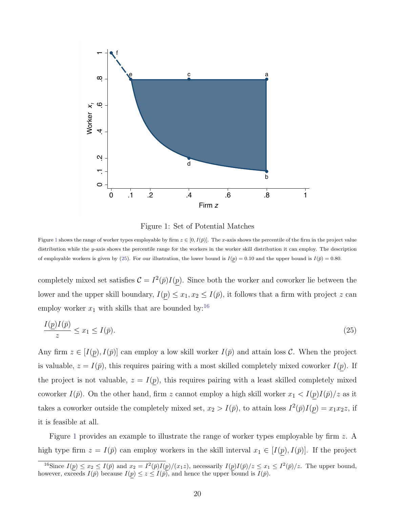<span id="page-20-0"></span>

<span id="page-20-1"></span>Figure 1: Set of Potential Matches

Figure [1](#page-20-0) shows the range of worker types employable by firm  $z \in [0, I(\bar{p})]$ . The x-axis shows the percentile of the firm in the project value distribution while the y-axis shows the percentile range for the workers in the worker skill distribution it can employ. The description of employable workers is given by [\(25\)](#page-20-1). For our illustration, the lower bound is  $I(p) = 0.10$  and the upper bound is  $I(\bar{p}) = 0.80$ .

completely mixed set satisfies  $\mathcal{C} = I^2(\bar{p})I(p)$ . Since both the worker and coworker lie between the lower and the upper skill boundary,  $I(p) \leq x_1, x_2 \leq I(p)$ , it follows that a firm with project z can employ worker  $x_1$  with skills that are bounded by:<sup>[16](#page-20-2)</sup>

$$
\frac{I(p)I(\bar{p})}{z} \le x_1 \le I(\bar{p}).\tag{25}
$$

Any firm  $z \in [I(p), I(\bar{p})]$  can employ a low skill worker  $I(\bar{p})$  and attain loss C. When the project is valuable,  $z = I(\bar{p})$ , this requires pairing with a most skilled completely mixed coworker  $I(p)$ . If the project is not valuable,  $z = I(p)$ , this requires pairing with a least skilled completely mixed coworker  $I(\bar{p})$ . On the other hand, firm z cannot employ a high skill worker  $x_1 < I(p)I(\bar{p})/z$  as it takes a coworker outside the completely mixed set,  $x_2 > I(\bar{p})$ , to attain loss  $I^2(\bar{p})I(p) = x_1x_2z$ , if it is feasible at all.

Figure [1](#page-20-0) provides an example to illustrate the range of worker types employable by firm z. A high type firm  $z = I(\bar{p})$  can employ workers in the skill interval  $x_1 \in [I(p), I(\bar{p})]$ . If the project

<span id="page-20-2"></span><sup>&</sup>lt;sup>16</sup>Since  $I(p) \le x_2 \le I(\bar{p})$  and  $x_2 = I^2(\bar{p})I(p)/(x_1z)$ , necessarily  $I(p)I(\bar{p})/z \le x_1 \le I^2(\bar{p})/z$ . The upper bound, however, exceeds  $I(\bar{p})$  because  $I(p) \leq z \leq I(\bar{p})$ , and hence the upper bound is  $I(\bar{p})$ .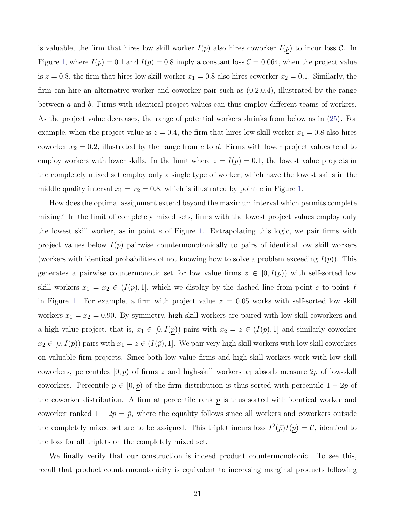is valuable, the firm that hires low skill worker  $I(\bar{p})$  also hires coworker  $I(p)$  to incur loss  $\mathcal{C}$ . In Figure [1,](#page-20-0) where  $I(p) = 0.1$  and  $I(\bar{p}) = 0.8$  imply a constant loss  $C = 0.064$ , when the project value is  $z = 0.8$ , the firm that hires low skill worker  $x_1 = 0.8$  also hires coworker  $x_2 = 0.1$ . Similarly, the firm can hire an alternative worker and coworker pair such as (0.2,0.4), illustrated by the range between a and b. Firms with identical project values can thus employ different teams of workers. As the project value decreases, the range of potential workers shrinks from below as in [\(25\)](#page-20-1). For example, when the project value is  $z = 0.4$ , the firm that hires low skill worker  $x_1 = 0.8$  also hires coworker  $x_2 = 0.2$ , illustrated by the range from c to d. Firms with lower project values tend to employ workers with lower skills. In the limit where  $z = I(p) = 0.1$ , the lowest value projects in the completely mixed set employ only a single type of worker, which have the lowest skills in the middle quality interval  $x_1 = x_2 = 0.8$ , which is illustrated by point e in Figure [1.](#page-20-0)

How does the optimal assignment extend beyond the maximum interval which permits complete mixing? In the limit of completely mixed sets, firms with the lowest project values employ only the lowest skill worker, as in point  $e$  of Figure [1.](#page-20-0) Extrapolating this logic, we pair firms with project values below  $I(p)$  pairwise countermonotonically to pairs of identical low skill workers (workers with identical probabilities of not knowing how to solve a problem exceeding  $I(\bar{p})$ ). This generates a pairwise countermonotic set for low value firms  $z \in [0, I(p))$  with self-sorted low skill workers  $x_1 = x_2 \in (I(\bar{p}), 1]$ , which we display by the dashed line from point e to point f in Figure [1.](#page-20-0) For example, a firm with project value  $z = 0.05$  works with self-sorted low skill workers  $x_1 = x_2 = 0.90$ . By symmetry, high skill workers are paired with low skill coworkers and a high value project, that is,  $x_1 \in [0, I(p))$  pairs with  $x_2 = z \in (I(p), 1]$  and similarly coworker  $x_2 \in [0, I(p))$  pairs with  $x_1 = z \in (I(\bar{p}), 1]$ . We pair very high skill workers with low skill coworkers on valuable firm projects. Since both low value firms and high skill workers work with low skill coworkers, percentiles  $[0, p)$  of firms z and high-skill workers  $x_1$  absorb measure  $2p$  of low-skill coworkers. Percentile  $p \in [0, p)$  of the firm distribution is thus sorted with percentile  $1 - 2p$  of the coworker distribution. A firm at percentile rank  $p$  is thus sorted with identical worker and coworker ranked  $1 - 2p = \bar{p}$ , where the equality follows since all workers and coworkers outside the completely mixed set are to be assigned. This triplet incurs loss  $I^2(\bar{p})I(p) = C$ , identical to the loss for all triplets on the completely mixed set.

We finally verify that our construction is indeed product countermonotonic. To see this, recall that product countermonotonicity is equivalent to increasing marginal products following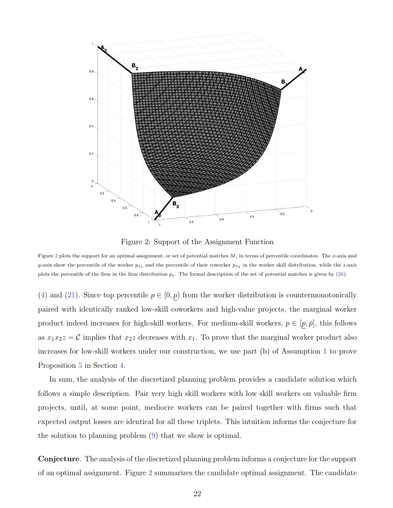<span id="page-22-0"></span>

Figure 2: Support of the Assignment Function

Figure [2](#page-22-0) plots the support for an optimal assignment, or set of potential matches  $M$ , in terms of percentile coordinates. The  $x$ -axis and y-axis show the percentile of the worker  $p_{x_1}$  and the percentile of their coworker  $p_{x_2}$  in the worker skill distribution, while the z-axis plots the percentile of the firm in the firm distribution  $p_z$ . The formal description of the set of potential matches is given by [\(26\)](#page-23-0).

[\(4\)](#page-10-1) and [\(21\)](#page-17-1). Since top percentile  $p \in [0, p)$  from the worker distribution is countermonotonically paired with identically ranked low-skill coworkers and high-value projects, the marginal worker product indeed increases for high-skill workers. For medium-skill workers,  $p \in [p, \bar{p}]$ , this follows as  $x_1x_2z = C$  implies that  $x_2z$  decreases with  $x_1$ . To prove that the marginal worker product also increases for low-skill workers under our construction, we use part (b) of Assumption [1](#page-25-0) to prove Proposition [5](#page-30-0) in Section [4.](#page-25-1)

In sum, the analysis of the discretized planning problem provides a candidate solution which follows a simple description. Pair very high skill workers with low skill workers on valuable firm projects, until, at some point, mediocre workers can be paired together with firms such that expected output losses are identical for all these triplets. This intuition informs the conjecture for the solution to planning problem [\(9\)](#page-11-3) that we show is optimal.

Conjecture. The analysis of the discretized planning problem informs a conjecture for the support of an optimal assignment. Figure [2](#page-22-0) summarizes the candidate optimal assignment. The candidate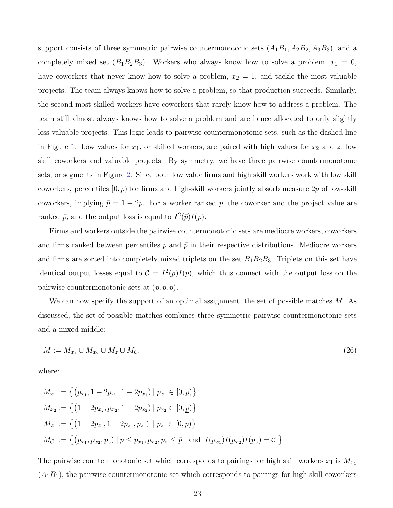support consists of three symmetric pairwise countermonotonic sets  $(A_1B_1, A_2B_2, A_3B_3)$ , and a completely mixed set  $(B_1B_2B_3)$ . Workers who always know how to solve a problem,  $x_1 = 0$ , have coworkers that never know how to solve a problem,  $x_2 = 1$ , and tackle the most valuable projects. The team always knows how to solve a problem, so that production succeeds. Similarly, the second most skilled workers have coworkers that rarely know how to address a problem. The team still almost always knows how to solve a problem and are hence allocated to only slightly less valuable projects. This logic leads to pairwise countermonotonic sets, such as the dashed line in Figure [1.](#page-20-0) Low values for  $x_1$ , or skilled workers, are paired with high values for  $x_2$  and  $z$ , low skill coworkers and valuable projects. By symmetry, we have three pairwise countermonotonic sets, or segments in Figure [2.](#page-22-0) Since both low value firms and high skill workers work with low skill coworkers, percentiles  $[0, p)$  for firms and high-skill workers jointly absorb measure  $2p$  of low-skill coworkers, implying  $\bar{p} = 1 - 2\underline{p}$ . For a worker ranked  $\underline{p}$ , the coworker and the project value are ranked  $\bar{p}$ , and the output loss is equal to  $I^2(\bar{p})I(p)$ .

Firms and workers outside the pairwise countermonotonic sets are mediocre workers, coworkers and firms ranked between percentiles  $p$  and  $\bar{p}$  in their respective distributions. Mediocre workers and firms are sorted into completely mixed triplets on the set  $B_1B_2B_3$ . Triplets on this set have identical output losses equal to  $\mathcal{C} = I^2(\bar{p})I(p)$ , which thus connect with the output loss on the pairwise countermonotonic sets at  $(p, \bar{p}, \bar{p}).$ 

We can now specify the support of an optimal assignment, the set of possible matches  $M$ . As discussed, the set of possible matches combines three symmetric pairwise countermonotonic sets and a mixed middle:

<span id="page-23-0"></span>
$$
M := M_{x_1} \cup M_{x_2} \cup M_{\mathcal{L}},\tag{26}
$$

where:

$$
M_{x_1} := \left\{ (p_{x_1}, 1 - 2p_{x_1}, 1 - 2p_{x_1}) \mid p_{x_1} \in [0, \underline{p}) \right\}
$$
  
\n
$$
M_{x_2} := \left\{ (1 - 2p_{x_2}, p_{x_2}, 1 - 2p_{x_2}) \mid p_{x_2} \in [0, \underline{p}) \right\}
$$
  
\n
$$
M_z := \left\{ (1 - 2p_z, 1 - 2p_z, p_z) \mid p_z \in [0, \underline{p}) \right\}
$$
  
\n
$$
M_{\mathcal{C}} := \left\{ (p_{x_1}, p_{x_2}, p_z) \mid \underline{p} \le p_{x_1}, p_{x_2}, p_z \le \overline{p} \text{ and } I(p_{x_1}) I(p_{x_2}) I(p_z) = \mathcal{C} \right\}
$$

The pairwise countermonotonic set which corresponds to pairings for high skill workers  $x_1$  is  $M_{x_1}$  $(A_1B_1)$ , the pairwise countermonotonic set which corresponds to pairings for high skill coworkers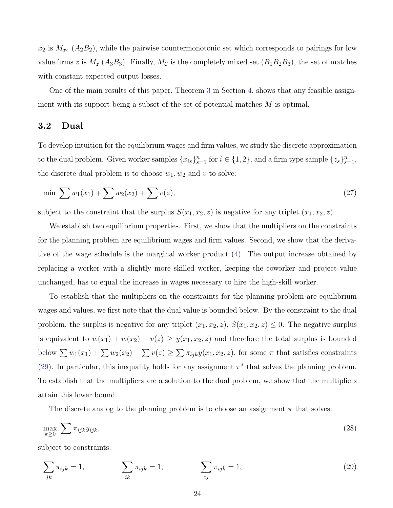$x_2$  is  $M_{x_2}$  ( $A_2B_2$ ), while the pairwise countermonotonic set which corresponds to pairings for low value firms z is  $M_z$  (A<sub>3</sub>B<sub>3</sub>). Finally,  $M_c$  is the completely mixed set (B<sub>1</sub>B<sub>2</sub>B<sub>3</sub>), the set of matches with constant expected output losses.

One of the main results of this paper, Theorem [3](#page-28-0) in Section [4,](#page-25-1) shows that any feasible assignment with its support being a subset of the set of potential matches  $M$  is optimal.

### 3.2 Dual

To develop intuition for the equilibrium wages and firm values, we study the discrete approximation to the dual problem. Given worker samples  ${x_{is}}_{s=1}^n$  for  $i \in \{1,2\}$ , and a firm type sample  $\{z_s\}_{s=1}^n$ , the discrete dual problem is to choose  $w_1, w_2$  and v to solve:

$$
\min \sum w_1(x_1) + \sum w_2(x_2) + \sum v(z), \tag{27}
$$

subject to the constraint that the surplus  $S(x_1, x_2, z)$  is negative for any triplet  $(x_1, x_2, z)$ .

We establish two equilibrium properties. First, we show that the multipliers on the constraints for the planning problem are equilibrium wages and firm values. Second, we show that the derivative of the wage schedule is the marginal worker product [\(4\)](#page-10-1). The output increase obtained by replacing a worker with a slightly more skilled worker, keeping the coworker and project value unchanged, has to equal the increase in wages necessary to hire the high-skill worker.

To establish that the multipliers on the constraints for the planning problem are equilibrium wages and values, we first note that the dual value is bounded below. By the constraint to the dual problem, the surplus is negative for any triplet  $(x_1, x_2, z)$ ,  $S(x_1, x_2, z) \leq 0$ . The negative surplus is equivalent to  $w(x_1) + w(x_2) + v(z) \geq y(x_1, x_2, z)$  and therefore the total surplus is bounded below  $\sum w_1(x_1) + \sum w_2(x_2) + \sum v(z) \ge \sum \pi_{ijk}y(x_1, x_2, z)$ , for some  $\pi$  that satisfies constraints [\(29\)](#page-24-0). In particular, this inequality holds for any assignment  $\pi^*$  that solves the planning problem. To establish that the multipliers are a solution to the dual problem, we show that the multipliers attain this lower bound.

<span id="page-24-0"></span>The discrete analog to the planning problem is to choose an assignment  $\pi$  that solves:

$$
\max_{\pi \ge 0} \sum \pi_{ijk} y_{ijk},\tag{28}
$$

subject to constraints:

$$
\sum_{jk} \pi_{ijk} = 1, \qquad \sum_{ik} \pi_{ijk} = 1, \qquad \sum_{ij} \pi_{ijk} = 1,
$$
\n(29)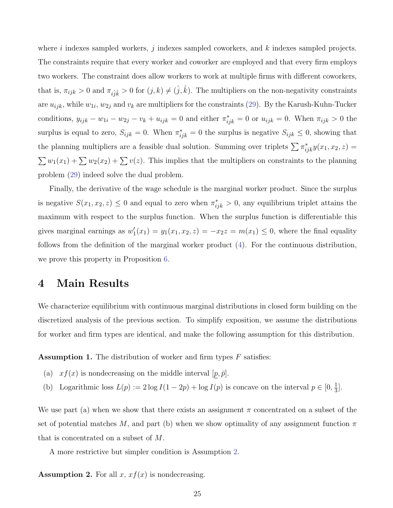where i indexes sampled workers, j indexes sampled coworkers, and  $k$  indexes sampled projects. The constraints require that every worker and coworker are employed and that every firm employs two workers. The constraint does allow workers to work at multiple firms with different coworkers, that is,  $\pi_{ijk} > 0$  and  $\pi_{i\hat{j}\hat{k}} > 0$  for  $(j, k) \neq (\hat{j}, \hat{k})$ . The multipliers on the non-negativity constraints are  $u_{ijk}$ , while  $w_{1i}$ ,  $w_{2j}$  and  $v_k$  are multipliers for the constraints [\(29\)](#page-24-0). By the Karush-Kuhn-Tucker conditions,  $y_{ijk} - w_{1i} - w_{2j} - v_k + u_{ijk} = 0$  and either  $\pi^*_{ijk} = 0$  or  $u_{ijk} = 0$ . When  $\pi_{ijk} > 0$  the surplus is equal to zero,  $S_{ijk} = 0$ . When  $\pi^*_{ijk} = 0$  the surplus is negative  $S_{ijk} \leq 0$ , showing that the planning multipliers are a feasible dual solution. Summing over triplets  $\sum \pi^*_{ijk} y(x_1, x_2, z) =$  $\sum w_1(x_1) + \sum w_2(x_2) + \sum v(z)$ . This implies that the multipliers on constraints to the planning problem [\(29\)](#page-24-0) indeed solve the dual problem.

Finally, the derivative of the wage schedule is the marginal worker product. Since the surplus is negative  $S(x_1, x_2, z) \leq 0$  and equal to zero when  $\pi^*_{ijk} > 0$ , any equilibrium triplet attains the maximum with respect to the surplus function. When the surplus function is differentiable this gives marginal earnings as  $w'_1(x_1) = y_1(x_1, x_2, z) = -x_2z = m(x_1) \leq 0$ , where the final equality follows from the definition of the marginal worker product [\(4\)](#page-10-1). For the continuous distribution, we prove this property in Proposition [6.](#page-31-0)

### <span id="page-25-1"></span>4 Main Results

We characterize equilibrium with continuous marginal distributions in closed form building on the discretized analysis of the previous section. To simplify exposition, we assume the distributions for worker and firm types are identical, and make the following assumption for this distribution.

<span id="page-25-0"></span>**Assumption 1.** The distribution of worker and firm types  $F$  satisfies:

- (a)  $xf(x)$  is nondecreasing on the middle interval  $[p, \bar{p}]$ .
- (b) Logarithmic loss  $L(p) := 2 \log I(1-2p) + \log I(p)$  is concave on the interval  $p \in [0, \frac{1}{3}]$  $\frac{1}{3}$ .

We use part (a) when we show that there exists an assignment  $\pi$  concentrated on a subset of the set of potential matches M, and part (b) when we show optimality of any assignment function  $\pi$ that is concentrated on a subset of M.

A more restrictive but simpler condition is Assumption [2.](#page-25-2)

<span id="page-25-2"></span>**Assumption 2.** For all  $x$ ,  $xf(x)$  is nondecreasing.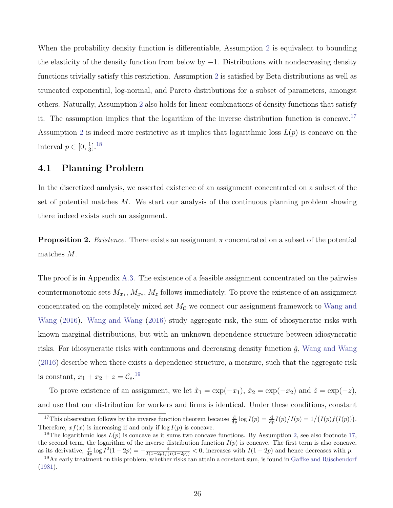When the probability density function is differentiable, Assumption [2](#page-25-2) is equivalent to bounding the elasticity of the density function from below by  $-1$ . Distributions with nondecreasing density functions trivially satisfy this restriction. Assumption [2](#page-25-2) is satisfied by Beta distributions as well as truncated exponential, log-normal, and Pareto distributions for a subset of parameters, amongst others. Naturally, Assumption [2](#page-25-2) also holds for linear combinations of density functions that satisfy it. The assumption implies that the logarithm of the inverse distribution function is concave.<sup>[17](#page-26-0)</sup> Assumption [2](#page-25-2) is indeed more restrictive as it implies that logarithmic loss  $L(p)$  is concave on the interval  $p \in [0, \frac{1}{3}]$  $\frac{1}{3}$ ].<sup>[18](#page-26-1)</sup>

#### 4.1 Planning Problem

In the discretized analysis, we asserted existence of an assignment concentrated on a subset of the set of potential matches  $M$ . We start our analysis of the continuous planning problem showing there indeed exists such an assignment.

<span id="page-26-3"></span>**Proposition 2.** Existence. There exists an assignment  $\pi$  concentrated on a subset of the potential matches M.

The proof is in Appendix [A.3.](#page-47-1) The existence of a feasible assignment concentrated on the pairwise countermonotonic sets  $M_{x_1}, M_{x_2}, M_z$  follows immediately. To prove the existence of an assignment concentrated on the completely mixed set  $M_{\mathcal{C}}$  we connect our assignment framework to [Wang and](#page-45-1) [Wang](#page-45-1) [\(2016\)](#page-45-1). [Wang and Wang](#page-45-1) [\(2016\)](#page-45-1) study aggregate risk, the sum of idiosyncratic risks with known marginal distributions, but with an unknown dependence structure between idiosyncratic risks. For idiosyncratic risks with continuous and decreasing density function  $\hat{q}$ , [Wang and Wang](#page-45-1) [\(2016\)](#page-45-1) describe when there exists a dependence structure, a measure, such that the aggregate risk is constant,  $x_1 + x_2 + z = C_e$ .<sup>[19](#page-26-2)</sup>

To prove existence of an assignment, we let  $\hat{x}_1 = \exp(-x_1)$ ,  $\hat{x}_2 = \exp(-x_2)$  and  $\hat{z} = \exp(-z)$ , and use that our distribution for workers and firms is identical. Under these conditions, constant

<span id="page-26-0"></span><sup>&</sup>lt;sup>17</sup>This observation follows by the inverse function theorem because  $\frac{d}{dp} \log I(p) = \frac{d}{dp} I(p)/I(p) = 1/(I(p)f(I(p))).$ Therefore,  $xf(x)$  is increasing if and only if  $log I(p)$  is concave.

<span id="page-26-1"></span><sup>&</sup>lt;sup>18</sup>The logarithmic loss  $L(p)$  is concave as it sums two concave functions. By Assumption [2,](#page-25-2) see also footnote [17,](#page-26-0) the second term, the logarithm of the inverse distribution function  $I(p)$  is concave. The first term is also concave, as its derivative,  $\frac{d}{dp} \log I^2(1-2p) = -\frac{4}{I(1-2p)f(I(1-2p))} < 0$ , increases with  $I(1-2p)$  and hence decreases with p.

<span id="page-26-2"></span><sup>&</sup>lt;sup>19</sup>An early treatment on this problem, whether risks can attain a constant sum, is found in Gaffke and Rüschendorf [\(1981\)](#page-42-12).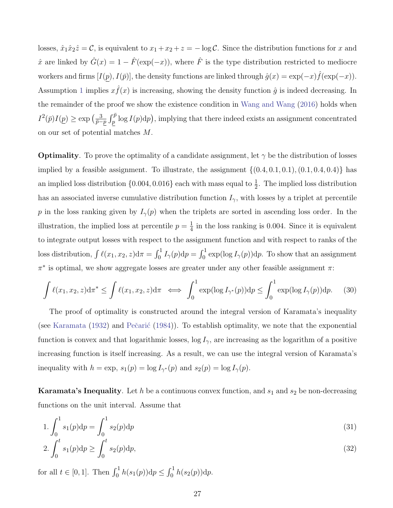losses,  $\hat{x}_1\hat{x}_2\hat{z}=\mathcal{C}$ , is equivalent to  $x_1+x_2+z=-\log\mathcal{C}$ . Since the distribution functions for x and  $\hat{x}$  are linked by  $\hat{G}(x) = 1 - \hat{F}(\exp(-x))$ , where  $\hat{F}$  is the type distribution restricted to mediocre workers and firms  $[I(p), I(\bar{p})]$ , the density functions are linked through  $\hat{g}(x) = \exp(-x)\hat{f}(\exp(-x))$ . Assumption [1](#page-25-0) implies  $x \hat{f}(x)$  is increasing, showing the density function  $\hat{g}$  is indeed decreasing. In the remainder of the proof we show the existence condition in [Wang and Wang](#page-45-1) [\(2016\)](#page-45-1) holds when  $I^2(\bar{p})I(p) \geq \exp\left(\frac{3}{\bar{p}-1}\right)$  $\frac{3}{\bar{p}-p} \int_{p}^{\bar{p}} \log I(p) \mathrm{d}p$ , implying that there indeed exists an assignment concentrated on our set of potential matches M.

**Optimality**. To prove the optimality of a candidate assignment, let  $\gamma$  be the distribution of losses implied by a feasible assignment. To illustrate, the assignment  $\{(0.4, 0.1, 0.1), (0.1, 0.4, 0.4)\}\)$  has an implied loss distribution  $\{0.004, 0.016\}$  each with mass equal to  $\frac{1}{2}$ . The implied loss distribution has an associated inverse cumulative distribution function  $I_{\gamma}$ , with losses by a triplet at percentile p in the loss ranking given by  $I_{\gamma}(p)$  when the triplets are sorted in ascending loss order. In the illustration, the implied loss at percentile  $p = \frac{1}{4}$  $\frac{1}{4}$  in the loss ranking is 0.004. Since it is equivalent to integrate output losses with respect to the assignment function and with respect to ranks of the loss distribution,  $\int \ell(x_1, x_2, z) d\pi = \int_0^1 I_\gamma(p) dp = \int_0^1 \exp(\log I_\gamma(p)) dp$ . To show that an assignment  $\pi^*$  is optimal, we show aggregate losses are greater under any other feasible assignment  $\pi$ :

$$
\int \ell(x_1, x_2, z) d\pi^* \le \int \ell(x_1, x_2, z) d\pi \iff \int_0^1 \exp(\log I_{\gamma^*}(p)) dp \le \int_0^1 \exp(\log I_{\gamma}(p)) dp. \tag{30}
$$

The proof of optimality is constructed around the integral version of Karamata's inequality (see [Karamata](#page-43-13)  $(1932)$  and Pečarić  $(1984)$ ). To establish optimality, we note that the exponential function is convex and that logarithmic losses,  $\log I_{\gamma}$ , are increasing as the logarithm of a positive increasing function is itself increasing. As a result, we can use the integral version of Karamata's inequality with  $h = \exp$ ,  $s_1(p) = \log I_{\gamma^*}(p)$  and  $s_2(p) = \log I_{\gamma}(p)$ .

**Karamata's Inequality**. Let h be a continuous convex function, and  $s_1$  and  $s_2$  be non-decreasing functions on the unit interval. Assume that

$$
1. \int_0^1 s_1(p) \mathrm{d}p = \int_0^1 s_2(p) \mathrm{d}p \tag{31}
$$

$$
2. \int_0^t s_1(p) \mathrm{d}p \ge \int_0^t s_2(p) \mathrm{d}p,\tag{32}
$$

for all  $t \in [0, 1]$ . Then  $\int_0^1 h(s_1(p)) dp \le \int_0^1 h(s_2(p)) dp$ .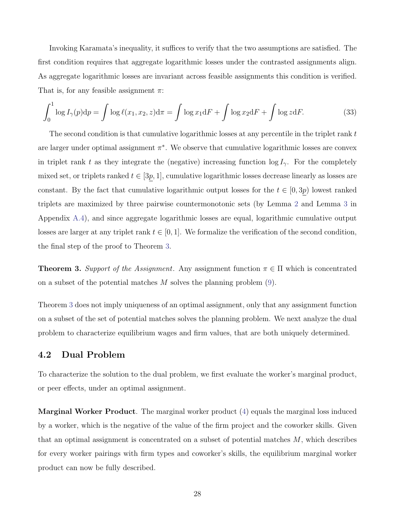Invoking Karamata's inequality, it suffices to verify that the two assumptions are satisfied. The first condition requires that aggregate logarithmic losses under the contrasted assignments align. As aggregate logarithmic losses are invariant across feasible assignments this condition is verified. That is, for any feasible assignment  $\pi$ :

<span id="page-28-1"></span>
$$
\int_0^1 \log I_\gamma(p) dp = \int \log \ell(x_1, x_2, z) d\pi = \int \log x_1 dF + \int \log x_2 dF + \int \log z dF. \tag{33}
$$

The second condition is that cumulative logarithmic losses at any percentile in the triplet rank  $t$ are larger under optimal assignment  $\pi^*$ . We observe that cumulative logarithmic losses are convex in triplet rank t as they integrate the (negative) increasing function  $\log I_{\gamma}$ . For the completely mixed set, or triplets ranked  $t \in [3p, 1]$ , cumulative logarithmic losses decrease linearly as losses are constant. By the fact that cumulative logarithmic output losses for the  $t \in [0, 3p)$  lowest ranked triplets are maximized by three pairwise countermonotonic sets (by Lemma [2](#page-49-0) and Lemma [3](#page-50-0) in Appendix [A.4\)](#page-48-0), and since aggregate logarithmic losses are equal, logarithmic cumulative output losses are larger at any triplet rank  $t \in [0, 1]$ . We formalize the verification of the second condition, the final step of the proof to Theorem [3.](#page-28-0)

<span id="page-28-0"></span>**Theorem 3.** Support of the Assignment. Any assignment function  $\pi \in \Pi$  which is concentrated on a subset of the potential matches  $M$  solves the planning problem  $(9)$ .

Theorem [3](#page-28-0) does not imply uniqueness of an optimal assignment, only that any assignment function on a subset of the set of potential matches solves the planning problem. We next analyze the dual problem to characterize equilibrium wages and firm values, that are both uniquely determined.

#### 4.2 Dual Problem

To characterize the solution to the dual problem, we first evaluate the worker's marginal product, or peer effects, under an optimal assignment.

Marginal Worker Product. The marginal worker product [\(4\)](#page-10-1) equals the marginal loss induced by a worker, which is the negative of the value of the firm project and the coworker skills. Given that an optimal assignment is concentrated on a subset of potential matches  $M$ , which describes for every worker pairings with firm types and coworker's skills, the equilibrium marginal worker product can now be fully described.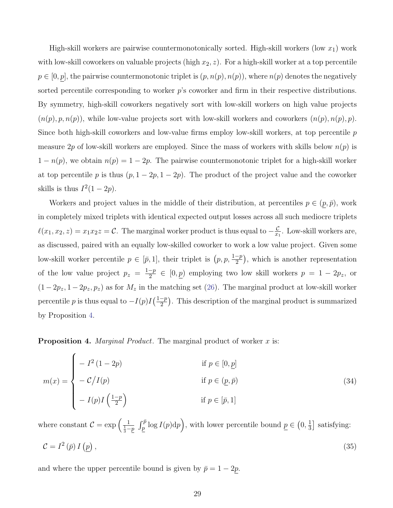High-skill workers are pairwise countermonotonically sorted. High-skill workers (low  $x_1$ ) work with low-skill coworkers on valuable projects (high  $x_2, z$ ). For a high-skill worker at a top percentile  $p \in [0, p]$ , the pairwise countermonotonic triplet is  $(p, n(p), n(p))$ , where  $n(p)$  denotes the negatively sorted percentile corresponding to worker  $p$ 's coworker and firm in their respective distributions. By symmetry, high-skill coworkers negatively sort with low-skill workers on high value projects  $(n(p), p, n(p))$ , while low-value projects sort with low-skill workers and coworkers  $(n(p), n(p), p)$ . Since both high-skill coworkers and low-value firms employ low-skill workers, at top percentile  $p$ measure 2p of low-skill workers are employed. Since the mass of workers with skills below  $n(p)$  is  $1 - n(p)$ , we obtain  $n(p) = 1 - 2p$ . The pairwise countermonotonic triplet for a high-skill worker at top percentile p is thus  $(p, 1 - 2p, 1 - 2p)$ . The product of the project value and the coworker skills is thus  $I^2(1-2p)$ .

Workers and project values in the middle of their distribution, at percentiles  $p \in (p, \bar{p})$ , work in completely mixed triplets with identical expected output losses across all such mediocre triplets  $\ell(x_1, x_2, z) = x_1 x_2 z = C$ . The marginal worker product is thus equal to  $-\frac{C}{x_1}$  $\frac{C}{x_1}$ . Low-skill workers are, as discussed, paired with an equally low-skilled coworker to work a low value project. Given some low-skill worker percentile  $p \in [\bar{p}, 1]$ , their triplet is  $(p, p, \frac{1-p}{2})$  $\frac{-p}{2}$ , which is another representation of the low value project  $p_z = \frac{1-p}{2}$  $\frac{-p}{2} \in [0, p)$  employing two low skill workers  $p = 1 - 2p_z$ , or  $(1-2p_z, 1-2p_z, p_z)$  as for  $M_z$  in the matching set [\(26\)](#page-23-0). The marginal product at low-skill worker percentile p is thus equal to  $-I(p)I(\frac{1-p}{2})$  $\frac{-p}{2}$ ). This description of the marginal product is summarized by Proposition [4.](#page-29-0)

<span id="page-29-0"></span>**Proposition 4.** Marginal Product. The marginal product of worker  $x$  is:

<span id="page-29-2"></span>
$$
m(x) = \begin{cases}\n- I^2 (1 - 2p) & \text{if } p \in [0, \underline{p}] \\
- C/I(p) & \text{if } p \in (\underline{p}, \overline{p}) \\
-I(p)I(\frac{1 - p}{2}) & \text{if } p \in [\overline{p}, 1]\n\end{cases}
$$
\n(34)

<span id="page-29-1"></span>where constant  $C = \exp\left(\frac{1}{\frac{1}{3}-p} \int_{\underline{p}}^{\overline{p}} \log I(p) \, dp\right)$ , with lower percentile bound  $\underline{p} \in (0, \frac{1}{3})$  $\frac{1}{3}$  satisfying:  $\mathcal{C} = I^2(\bar{p}) I(p)$ ,  $(35)$ 

and where the upper percentile bound is given by  $\bar{p} = 1 - 2\underline{p}$ .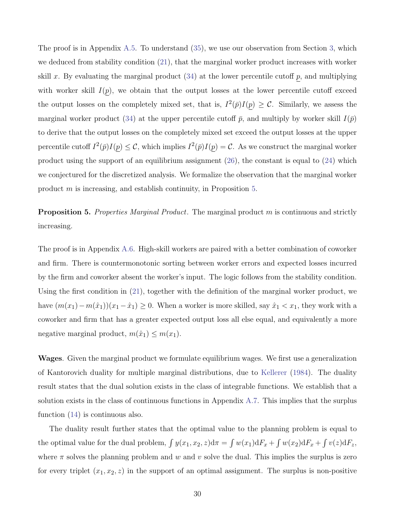The proof is in Appendix [A.5.](#page-51-0) To understand [\(35\)](#page-29-1), we use our observation from Section [3,](#page-14-1) which we deduced from stability condition [\(21\)](#page-17-1), that the marginal worker product increases with worker skill x. By evaluating the marginal product  $(34)$  at the lower percentile cutoff p, and multiplying with worker skill  $I(p)$ , we obtain that the output losses at the lower percentile cutoff exceed the output losses on the completely mixed set, that is,  $I^2(\bar{p})I(p) \geq C$ . Similarly, we assess the marginal worker product [\(34\)](#page-29-2) at the upper percentile cutoff  $\bar{p}$ , and multiply by worker skill  $I(\bar{p})$ to derive that the output losses on the completely mixed set exceed the output losses at the upper percentile cutoff  $I^2(\bar{p})I(p) \leq C$ , which implies  $I^2(\bar{p})I(p) = C$ . As we construct the marginal worker product using the support of an equilibrium assignment [\(26\)](#page-23-0), the constant is equal to [\(24\)](#page-19-2) which we conjectured for the discretized analysis. We formalize the observation that the marginal worker product m is increasing, and establish continuity, in Proposition [5.](#page-30-0)

<span id="page-30-0"></span>**Proposition 5.** Properties Marginal Product. The marginal product m is continuous and strictly increasing.

The proof is in Appendix [A.6.](#page-52-0) High-skill workers are paired with a better combination of coworker and firm. There is countermonotonic sorting between worker errors and expected losses incurred by the firm and coworker absent the worker's input. The logic follows from the stability condition. Using the first condition in [\(21\)](#page-17-1), together with the definition of the marginal worker product, we have  $(m(x_1)-m(\hat{x}_1))(x_1-\hat{x}_1) \geq 0$ . When a worker is more skilled, say  $\hat{x}_1 < x_1$ , they work with a coworker and firm that has a greater expected output loss all else equal, and equivalently a more negative marginal product,  $m(\hat{x}_1) \leq m(x_1)$ .

Wages. Given the marginal product we formulate equilibrium wages. We first use a generalization of Kantorovich duality for multiple marginal distributions, due to [Kellerer](#page-44-1) [\(1984\)](#page-44-1). The duality result states that the dual solution exists in the class of integrable functions. We establish that a solution exists in the class of continuous functions in Appendix [A.7.](#page-53-0) This implies that the surplus function [\(14\)](#page-13-2) is continuous also.

The duality result further states that the optimal value to the planning problem is equal to the optimal value for the dual problem,  $\int y(x_1, x_2, z) d\pi = \int w(x_1) dF_x + \int w(x_2) dF_x + \int v(z) dF_z$ , where  $\pi$  solves the planning problem and w and v solve the dual. This implies the surplus is zero for every triplet  $(x_1, x_2, z)$  in the support of an optimal assignment. The surplus is non-positive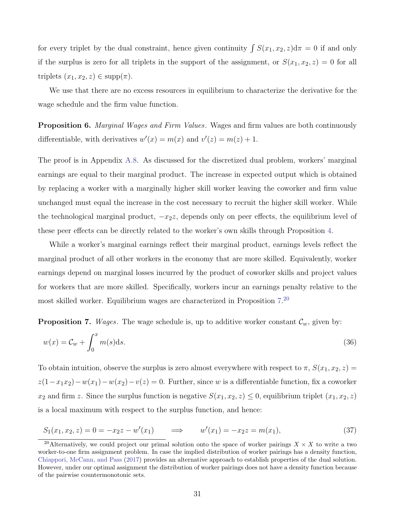for every triplet by the dual constraint, hence given continuity  $\int S(x_1, x_2, z)d\pi = 0$  if and only if the surplus is zero for all triplets in the support of the assignment, or  $S(x_1, x_2, z) = 0$  for all triplets  $(x_1, x_2, z) \in \text{supp}(\pi)$ .

We use that there are no excess resources in equilibrium to characterize the derivative for the wage schedule and the firm value function.

<span id="page-31-0"></span>**Proposition 6.** Marginal Wages and Firm Values. Wages and firm values are both continuously differentiable, with derivatives  $w'(x) = m(x)$  and  $v'(z) = m(z) + 1$ .

The proof is in Appendix [A.8.](#page-54-0) As discussed for the discretized dual problem, workers' marginal earnings are equal to their marginal product. The increase in expected output which is obtained by replacing a worker with a marginally higher skill worker leaving the coworker and firm value unchanged must equal the increase in the cost necessary to recruit the higher skill worker. While the technological marginal product,  $-x_2z$ , depends only on peer effects, the equilibrium level of these peer effects can be directly related to the worker's own skills through Proposition [4.](#page-29-0)

While a worker's marginal earnings reflect their marginal product, earnings levels reflect the marginal product of all other workers in the economy that are more skilled. Equivalently, worker earnings depend on marginal losses incurred by the product of coworker skills and project values for workers that are more skilled. Specifically, workers incur an earnings penalty relative to the most skilled worker. Equilibrium wages are characterized in Proposition [7.](#page-31-1) [20](#page-31-2)

<span id="page-31-1"></span>**Proposition 7.** Wages. The wage schedule is, up to additive worker constant  $\mathcal{C}_w$ , given by:

<span id="page-31-3"></span>
$$
w(x) = \mathcal{C}_w + \int_0^x m(s) \, \mathrm{d}s. \tag{36}
$$

To obtain intuition, observe the surplus is zero almost everywhere with respect to  $\pi$ ,  $S(x_1, x_2, z)$  $z(1-x_1x_2)-w(x_1)-w(x_2)-v(z) = 0$ . Further, since w is a differentiable function, fix a coworker  $x_2$  and firm z. Since the surplus function is negative  $S(x_1, x_2, z) \leq 0$ , equilibrium triplet  $(x_1, x_2, z)$ is a local maximum with respect to the surplus function, and hence:

$$
S_1(x_1, x_2, z) = 0 = -x_2 z - w'(x_1) \qquad \Longrightarrow \qquad w'(x_1) = -x_2 z = m(x_1), \tag{37}
$$

<span id="page-31-2"></span><sup>&</sup>lt;sup>20</sup>Alternatively, we could project our primal solution onto the space of worker pairings  $X \times X$  to write a two worker-to-one firm assignment problem. In case the implied distribution of worker pairings has a density function, [Chiappori, McCann, and Pass](#page-42-5) [\(2017\)](#page-42-5) provides an alternative approach to establish properties of the dual solution. However, under our optimal assignment the distribution of worker pairings does not have a density function because of the pairwise countermonotonic sets.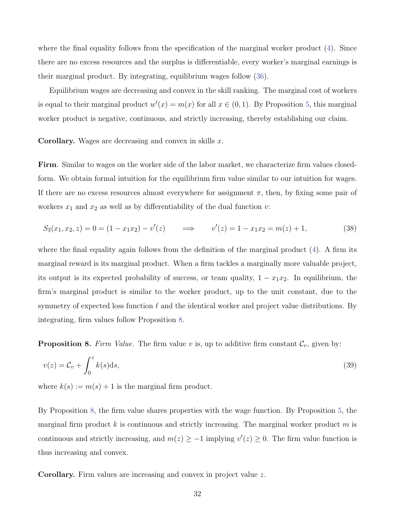where the final equality follows from the specification of the marginal worker product [\(4\)](#page-10-1). Since there are no excess resources and the surplus is differentiable, every worker's marginal earnings is their marginal product. By integrating, equilibrium wages follow [\(36\)](#page-31-3).

Equilibrium wages are decreasing and convex in the skill ranking. The marginal cost of workers is equal to their marginal product  $w'(x) = m(x)$  for all  $x \in (0,1)$ . By Proposition [5,](#page-30-0) this marginal worker product is negative, continuous, and strictly increasing, thereby establishing our claim.

**Corollary.** Wages are decreasing and convex in skills  $x$ .

Firm. Similar to wages on the worker side of the labor market, we characterize firm values closedform. We obtain formal intuition for the equilibrium firm value similar to our intuition for wages. If there are no excess resources almost everywhere for assignment  $\pi$ , then, by fixing some pair of workers  $x_1$  and  $x_2$  as well as by differentiability of the dual function v:

$$
S_3(x_1, x_2, z) = 0 = (1 - x_1 x_2) - v'(z) \qquad \Longrightarrow \qquad v'(z) = 1 - x_1 x_2 = m(z) + 1,\tag{38}
$$

where the final equality again follows from the definition of the marginal product [\(4\)](#page-10-1). A firm its marginal reward is its marginal product. When a firm tackles a marginally more valuable project, its output is its expected probability of success, or team quality,  $1 - x_1x_2$ . In equilibrium, the firm's marginal product is similar to the worker product, up to the unit constant, due to the symmetry of expected loss function  $\ell$  and the identical worker and project value distributions. By integrating, firm values follow Proposition [8.](#page-32-0)

<span id="page-32-0"></span>**Proposition 8.** Firm Value. The firm value v is, up to additive firm constant  $\mathcal{C}_v$ , given by:

<span id="page-32-1"></span>
$$
v(z) = \mathcal{C}_v + \int_0^z k(s) \mathrm{d}s,\tag{39}
$$

where  $k(s) := m(s) + 1$  is the marginal firm product.

By Proposition [8,](#page-32-0) the firm value shares properties with the wage function. By Proposition [5,](#page-30-0) the marginal firm product k is continuous and strictly increasing. The marginal worker product m is continuous and strictly increasing, and  $m(z) \geq -1$  implying  $v'(z) \geq 0$ . The firm value function is thus increasing and convex.

Corollary. Firm values are increasing and convex in project value z.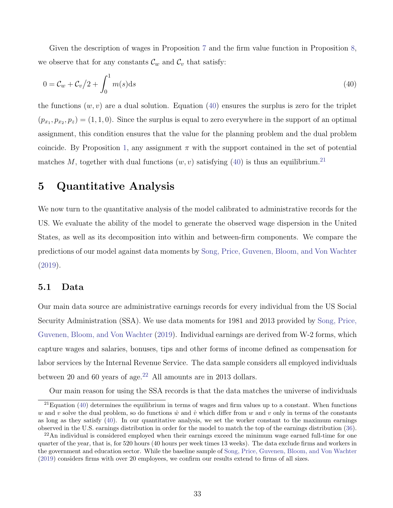Given the description of wages in Proposition [7](#page-31-1) and the firm value function in Proposition [8,](#page-32-0) we observe that for any constants  $\mathcal{C}_w$  and  $\mathcal{C}_v$  that satisfy:

<span id="page-33-0"></span>
$$
0 = \mathcal{C}_w + \mathcal{C}_v/2 + \int_0^1 m(s)ds
$$
\n(40)

the functions  $(w, v)$  are a dual solution. Equation [\(40\)](#page-33-0) ensures the surplus is zero for the triplet  $(p_{x_1}, p_{x_2}, p_z) = (1, 1, 0)$ . Since the surplus is equal to zero everywhere in the support of an optimal assignment, this condition ensures that the value for the planning problem and the dual problem coincide. By Proposition [1,](#page-14-0) any assignment  $\pi$  with the support contained in the set of potential matches M, together with dual functions  $(w, v)$  satisfying [\(40\)](#page-33-0) is thus an equilibrium.<sup>[21](#page-33-1)</sup>

### 5 Quantitative Analysis

We now turn to the quantitative analysis of the model calibrated to administrative records for the US. We evaluate the ability of the model to generate the observed wage dispersion in the United States, as well as its decomposition into within and between-firm components. We compare the predictions of our model against data moments by [Song, Price, Guvenen, Bloom, and Von Wachter](#page-45-2) [\(2019\)](#page-45-2).

### 5.1 Data

Our main data source are administrative earnings records for every individual from the US Social Security Administration (SSA). We use data moments for 1981 and 2013 provided by [Song, Price,](#page-45-2) [Guvenen, Bloom, and Von Wachter](#page-45-2) [\(2019\)](#page-45-2). Individual earnings are derived from W-2 forms, which capture wages and salaries, bonuses, tips and other forms of income defined as compensation for labor services by the Internal Revenue Service. The data sample considers all employed individuals between 20 and 60 years of age. $22$  All amounts are in 2013 dollars.

Our main reason for using the SSA records is that the data matches the universe of individuals

<span id="page-33-1"></span> $21$ Equation [\(40\)](#page-33-0) determines the equilibrium in terms of wages and firm values up to a constant. When functions w and v solve the dual problem, so do functions  $\hat{w}$  and  $\hat{v}$  which differ from w and v only in terms of the constants as long as they satisfy [\(40\)](#page-33-0). In our quantitative analysis, we set the worker constant to the maximum earnings observed in the U.S. earnings distribution in order for the model to match the top of the earnings distribution [\(36\)](#page-31-3).

<span id="page-33-2"></span> $22$ An individual is considered employed when their earnings exceed the minimum wage earned full-time for one quarter of the year, that is, for 520 hours (40 hours per week times 13 weeks). The data exclude firms and workers in the government and education sector. While the baseline sample of [Song, Price, Guvenen, Bloom, and Von Wachter](#page-45-2) [\(2019\)](#page-45-2) considers firms with over 20 employees, we confirm our results extend to firms of all sizes.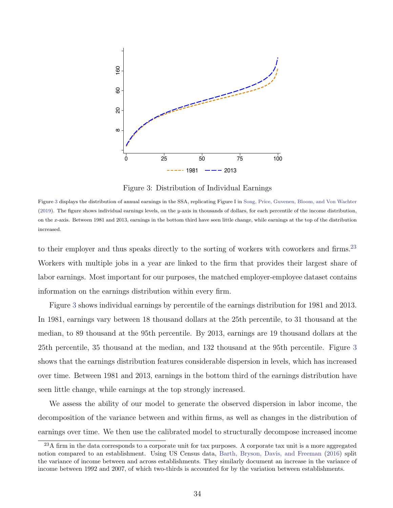<span id="page-34-0"></span>

Figure 3: Distribution of Individual Earnings

Figure [3](#page-34-0) displays the distribution of annual earnings in the SSA, replicating Figure I in [Song, Price, Guvenen, Bloom, and Von Wachter](#page-45-2) [\(2019\)](#page-45-2). The figure shows individual earnings levels, on the y-axis in thousands of dollars, for each percentile of the income distribution, on the x-axis. Between 1981 and 2013, earnings in the bottom third have seen little change, while earnings at the top of the distribution increased.

to their employer and thus speaks directly to the sorting of workers with coworkers and firms.<sup>[23](#page-34-1)</sup> Workers with multiple jobs in a year are linked to the firm that provides their largest share of labor earnings. Most important for our purposes, the matched employer-employee dataset contains information on the earnings distribution within every firm.

Figure [3](#page-34-0) shows individual earnings by percentile of the earnings distribution for 1981 and 2013. In 1981, earnings vary between 18 thousand dollars at the 25th percentile, to 31 thousand at the median, to 89 thousand at the 95th percentile. By 2013, earnings are 19 thousand dollars at the 25th percentile, 35 thousand at the median, and 132 thousand at the 95th percentile. Figure [3](#page-34-0) shows that the earnings distribution features considerable dispersion in levels, which has increased over time. Between 1981 and 2013, earnings in the bottom third of the earnings distribution have seen little change, while earnings at the top strongly increased.

We assess the ability of our model to generate the observed dispersion in labor income, the decomposition of the variance between and within firms, as well as changes in the distribution of earnings over time. We then use the calibrated model to structurally decompose increased income

<span id="page-34-1"></span><sup>&</sup>lt;sup>23</sup>A firm in the data corresponds to a corporate unit for tax purposes. A corporate tax unit is a more aggregated notion compared to an establishment. Using US Census data, [Barth, Bryson, Davis, and Freeman](#page-41-4) [\(2016\)](#page-41-4) split the variance of income between and across establishments. They similarly document an increase in the variance of income between 1992 and 2007, of which two-thirds is accounted for by the variation between establishments.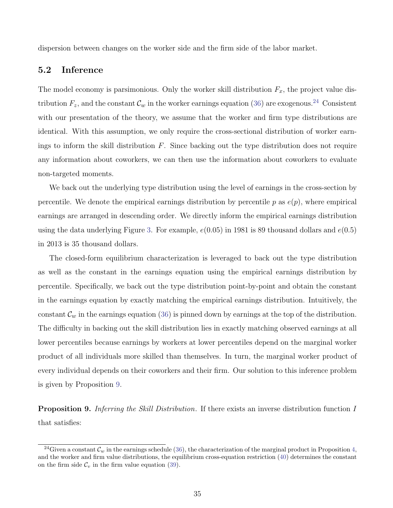dispersion between changes on the worker side and the firm side of the labor market.

#### 5.2 Inference

The model economy is parsimonious. Only the worker skill distribution  $F_x$ , the project value distribution  $F_z$ , and the constant  $\mathcal{C}_w$  in the worker earnings equation [\(36\)](#page-31-3) are exogenous.<sup>[24](#page-35-0)</sup> Consistent with our presentation of the theory, we assume that the worker and firm type distributions are identical. With this assumption, we only require the cross-sectional distribution of worker earnings to inform the skill distribution  $F$ . Since backing out the type distribution does not require any information about coworkers, we can then use the information about coworkers to evaluate non-targeted moments.

We back out the underlying type distribution using the level of earnings in the cross-section by percentile. We denote the empirical earnings distribution by percentile p as  $e(p)$ , where empirical earnings are arranged in descending order. We directly inform the empirical earnings distribution using the data underlying Figure [3.](#page-34-0) For example,  $e(0.05)$  in 1981 is 89 thousand dollars and  $e(0.5)$ in 2013 is 35 thousand dollars.

The closed-form equilibrium characterization is leveraged to back out the type distribution as well as the constant in the earnings equation using the empirical earnings distribution by percentile. Specifically, we back out the type distribution point-by-point and obtain the constant in the earnings equation by exactly matching the empirical earnings distribution. Intuitively, the constant  $\mathcal{C}_w$  in the earnings equation [\(36\)](#page-31-3) is pinned down by earnings at the top of the distribution. The difficulty in backing out the skill distribution lies in exactly matching observed earnings at all lower percentiles because earnings by workers at lower percentiles depend on the marginal worker product of all individuals more skilled than themselves. In turn, the marginal worker product of every individual depends on their coworkers and their firm. Our solution to this inference problem is given by Proposition [9.](#page-35-1)

<span id="page-35-1"></span>**Proposition 9.** Inferring the Skill Distribution. If there exists an inverse distribution function I that satisfies:

<span id="page-35-0"></span><sup>&</sup>lt;sup>24</sup>Given a constant  $\mathcal{C}_w$  in the earnings schedule [\(36\)](#page-31-3), the characterization of the marginal product in Proposition [4,](#page-29-0) and the worker and firm value distributions, the equilibrium cross-equation restriction [\(40\)](#page-33-0) determines the constant on the firm side  $\mathcal{C}_v$  in the firm value equation [\(39\)](#page-32-1).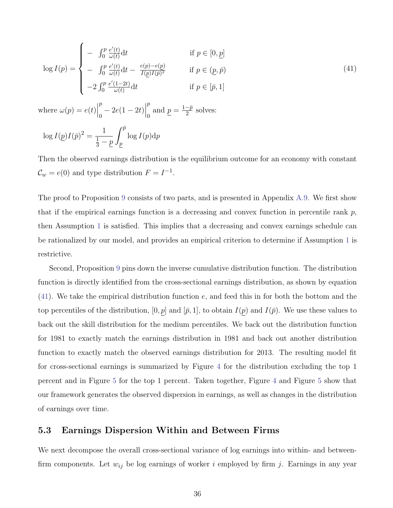<span id="page-36-0"></span>
$$
\log I(p) = \begin{cases}\n- \int_0^p \frac{e'(t)}{\omega(t)} dt & \text{if } p \in [0, \underline{p}] \\
- \int_0^p \frac{e'(t)}{\omega(t)} dt - \frac{e(p) - e(p)}{I(p)I(\overline{p})^2} & \text{if } p \in (\underline{p}, \overline{p}) \\
-2 \int_0^p \frac{e'(1-2t)}{\omega(t)} dt & \text{if } p \in [\overline{p}, 1]\n\end{cases}
$$
\n(41)

where  $\omega(p) = e(t)$ p  $\binom{p}{0} - 2e(1 - 2t)$ p  $\frac{p}{0}$  and  $\underline{p} = \frac{1-\bar{p}}{2}$  $\frac{-p}{2}$  solves:

$$
\log I(\underline{p})I(\bar{p})^2 = \frac{1}{\frac{1}{3} - \underline{p}} \int_{\underline{p}}^{\bar{p}} \log I(p) \mathrm{d}p
$$

Then the observed earnings distribution is the equilibrium outcome for an economy with constant  $\mathcal{C}_w = e(0)$  and type distribution  $F = I^{-1}$ .

The proof to Proposition [9](#page-35-1) consists of two parts, and is presented in Appendix [A.9.](#page-55-0) We first show that if the empirical earnings function is a decreasing and convex function in percentile rank  $p$ , then Assumption [1](#page-25-0) is satisfied. This implies that a decreasing and convex earnings schedule can be rationalized by our model, and provides an empirical criterion to determine if Assumption [1](#page-25-0) is restrictive.

Second, Proposition [9](#page-35-1) pins down the inverse cumulative distribution function. The distribution function is directly identified from the cross-sectional earnings distribution, as shown by equation [\(41\)](#page-36-0). We take the empirical distribution function e, and feed this in for both the bottom and the top percentiles of the distribution,  $[0, p]$  and  $[\bar{p}, 1]$ , to obtain  $I(p)$  and  $I(\bar{p})$ . We use these values to back out the skill distribution for the medium percentiles. We back out the distribution function for 1981 to exactly match the earnings distribution in 1981 and back out another distribution function to exactly match the observed earnings distribution for 2013. The resulting model fit for cross-sectional earnings is summarized by Figure [4](#page-37-0) for the distribution excluding the top 1 percent and in Figure [5](#page-38-0) for the top 1 percent. Taken together, Figure [4](#page-37-0) and Figure [5](#page-38-0) show that our framework generates the observed dispersion in earnings, as well as changes in the distribution of earnings over time.

#### 5.3 Earnings Dispersion Within and Between Firms

We next decompose the overall cross-sectional variance of log earnings into within- and betweenfirm components. Let  $w_{ij}$  be log earnings of worker i employed by firm j. Earnings in any year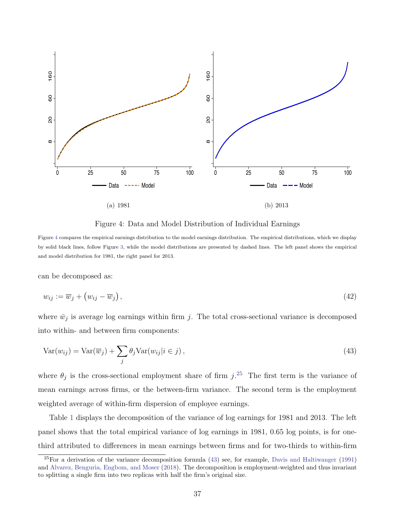<span id="page-37-0"></span>

<span id="page-37-2"></span>Figure 4: Data and Model Distribution of Individual Earnings

Figure [4](#page-37-0) compares the empirical earnings distribution to the model earnings distribution. The empirical distributions, which we display by solid black lines, follow Figure [3,](#page-34-0) while the model distributions are presented by dashed lines. The left panel shows the empirical and model distribution for 1981, the right panel for 2013.

can be decomposed as:

$$
w_{ij} := \overline{w}_j + \left(w_{ij} - \overline{w}_j\right),\tag{42}
$$

where  $\bar{w}_j$  is average log earnings within firm j. The total cross-sectional variance is decomposed into within- and between firm components:

$$
Var(w_{ij}) = Var(\overline{w}_j) + \sum_{j} \theta_j Var(w_{ij} | i \in j), \qquad (43)
$$

where  $\theta_j$  is the cross-sectional employment share of firm j.<sup>[25](#page-37-1)</sup> The first term is the variance of mean earnings across firms, or the between-firm variance. The second term is the employment weighted average of within-firm dispersion of employee earnings.

Table [1](#page-38-1) displays the decomposition of the variance of log earnings for 1981 and 2013. The left panel shows that the total empirical variance of log earnings in 1981, 0.65 log points, is for onethird attributed to differences in mean earnings between firms and for two-thirds to within-firm

<span id="page-37-1"></span> $25$ For a derivation of the variance decomposition formula [\(43\)](#page-37-2) see, for example, [Davis and Haltiwanger](#page-42-13) [\(1991\)](#page-42-13) and [Alvarez, Benguria, Engbom, and Moser](#page-41-6) [\(2018\)](#page-41-6). The decomposition is employment-weighted and thus invariant to splitting a single firm into two replicas with half the firm's original size.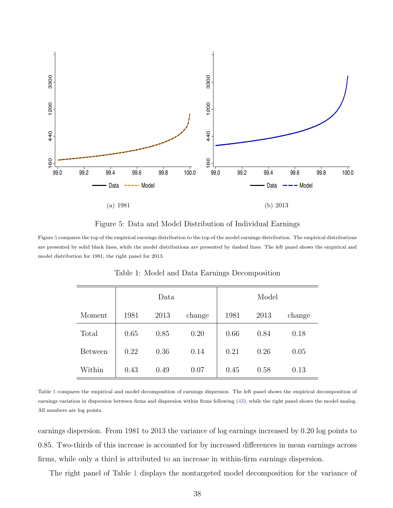<span id="page-38-0"></span>

Figure 5: Data and Model Distribution of Individual Earnings

<span id="page-38-1"></span>Figure [5](#page-38-0) compares the top of the empirical earnings distribution to the top of the model earnings distribution. The empirical distributions are presented by solid black lines, while the model distributions are presented by dashed lines. The left panel shows the empirical and model distribution for 1981, the right panel for 2013.

|                | Data |      |        | Model |      |        |
|----------------|------|------|--------|-------|------|--------|
| Moment         | 1981 | 2013 | change | 1981  | 2013 | change |
| Total          | 0.65 | 0.85 | 0.20   | 0.66  | 0.84 | 0.18   |
| <b>Between</b> | 0.22 | 0.36 | 0.14   | 0.21  | 0.26 | 0.05   |
| Within         | 0.43 | 0.49 | 0.07   | 0.45  | 0.58 | 0.13   |

Table 1: Model and Data Earnings Decomposition

Table [1](#page-38-1) compares the empirical and model decomposition of earnings dispersion. The left panel shows the empirical decomposition of earnings variation in dispersion between firms and dispersion within firms following [\(43\)](#page-37-2), while the right panel shows the model analog. All numbers are log points.

earnings dispersion. From 1981 to 2013 the variance of log earnings increased by 0.20 log points to 0.85. Two-thirds of this increase is accounted for by increased differences in mean earnings across firms, while only a third is attributed to an increase in within-firm earnings dispersion.

The right panel of Table [1](#page-38-1) displays the nontargeted model decomposition for the variance of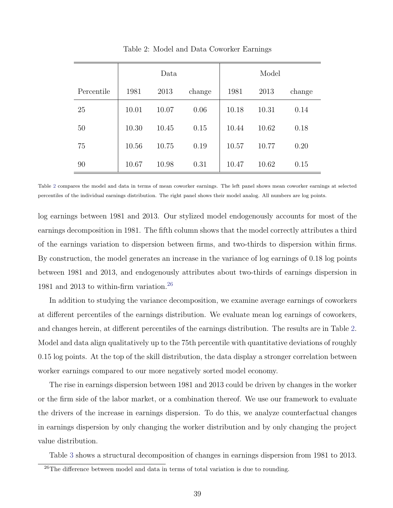<span id="page-39-0"></span>

|            | Data  |       |        | Model |       |        |
|------------|-------|-------|--------|-------|-------|--------|
| Percentile | 1981  | 2013  | change | 1981  | 2013  | change |
| 25         | 10.01 | 10.07 | 0.06   | 10.18 | 10.31 | 0.14   |
| 50         | 10.30 | 10.45 | 0.15   | 10.44 | 10.62 | 0.18   |
| 75         | 10.56 | 10.75 | 0.19   | 10.57 | 10.77 | 0.20   |
| 90         | 10.67 | 10.98 | 0.31   | 10.47 | 10.62 | 0.15   |

Table 2: Model and Data Coworker Earnings

Table [2](#page-39-0) compares the model and data in terms of mean coworker earnings. The left panel shows mean coworker earnings at selected percentiles of the individual earnings distribution. The right panel shows their model analog. All numbers are log points.

log earnings between 1981 and 2013. Our stylized model endogenously accounts for most of the earnings decomposition in 1981. The fifth column shows that the model correctly attributes a third of the earnings variation to dispersion between firms, and two-thirds to dispersion within firms. By construction, the model generates an increase in the variance of log earnings of 0.18 log points between 1981 and 2013, and endogenously attributes about two-thirds of earnings dispersion in 1981 and 2013 to within-firm variation.<sup>[26](#page-39-1)</sup>

In addition to studying the variance decomposition, we examine average earnings of coworkers at different percentiles of the earnings distribution. We evaluate mean log earnings of coworkers, and changes herein, at different percentiles of the earnings distribution. The results are in Table [2.](#page-39-0) Model and data align qualitatively up to the 75th percentile with quantitative deviations of roughly 0.15 log points. At the top of the skill distribution, the data display a stronger correlation between worker earnings compared to our more negatively sorted model economy.

The rise in earnings dispersion between 1981 and 2013 could be driven by changes in the worker or the firm side of the labor market, or a combination thereof. We use our framework to evaluate the drivers of the increase in earnings dispersion. To do this, we analyze counterfactual changes in earnings dispersion by only changing the worker distribution and by only changing the project value distribution.

Table [3](#page-40-0) shows a structural decomposition of changes in earnings dispersion from 1981 to 2013.

<span id="page-39-1"></span><sup>&</sup>lt;sup>26</sup>The difference between model and data in terms of total variation is due to rounding.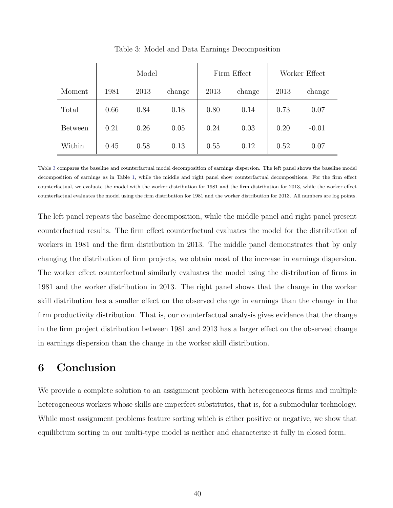<span id="page-40-0"></span>

|                | Model |      |        |      | Firm Effect | Worker Effect |         |
|----------------|-------|------|--------|------|-------------|---------------|---------|
| Moment         | 1981  | 2013 | change | 2013 | change      | 2013          | change  |
| Total          | 0.66  | 0.84 | 0.18   | 0.80 | 0.14        | 0.73          | 0.07    |
| <b>Between</b> | 0.21  | 0.26 | 0.05   | 0.24 | 0.03        | 0.20          | $-0.01$ |
| Within         | 0.45  | 0.58 | 0.13   | 0.55 | 0.12        | 0.52          | 0.07    |

Table 3: Model and Data Earnings Decomposition

Table [3](#page-40-0) compares the baseline and counterfactual model decomposition of earnings dispersion. The left panel shows the baseline model decomposition of earnings as in Table [1,](#page-38-1) while the middle and right panel show counterfactual decompositions. For the firm effect counterfactual, we evaluate the model with the worker distribution for 1981 and the firm distribution for 2013, while the worker effect counterfactual evaluates the model using the firm distribution for 1981 and the worker distribution for 2013. All numbers are log points.

The left panel repeats the baseline decomposition, while the middle panel and right panel present counterfactual results. The firm effect counterfactual evaluates the model for the distribution of workers in 1981 and the firm distribution in 2013. The middle panel demonstrates that by only changing the distribution of firm projects, we obtain most of the increase in earnings dispersion. The worker effect counterfactual similarly evaluates the model using the distribution of firms in 1981 and the worker distribution in 2013. The right panel shows that the change in the worker skill distribution has a smaller effect on the observed change in earnings than the change in the firm productivity distribution. That is, our counterfactual analysis gives evidence that the change in the firm project distribution between 1981 and 2013 has a larger effect on the observed change in earnings dispersion than the change in the worker skill distribution.

### 6 Conclusion

We provide a complete solution to an assignment problem with heterogeneous firms and multiple heterogeneous workers whose skills are imperfect substitutes, that is, for a submodular technology. While most assignment problems feature sorting which is either positive or negative, we show that equilibrium sorting in our multi-type model is neither and characterize it fully in closed form.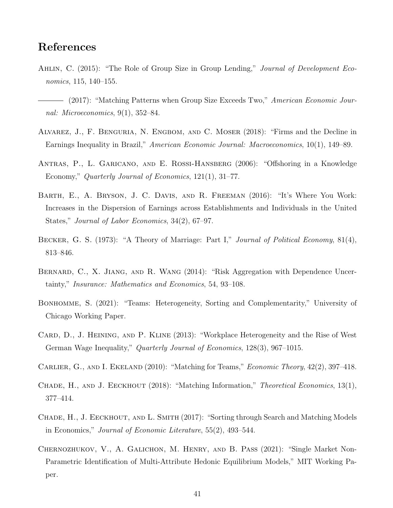### References

- <span id="page-41-8"></span>AHLIN, C. (2015): "The Role of Group Size in Group Lending," Journal of Development Economics, 115, 140–155.
- <span id="page-41-1"></span>- (2017): "Matching Patterns when Group Size Exceeds Two," American Economic Journal: Microeconomics, 9(1), 352–84.
- <span id="page-41-6"></span>Alvarez, J., F. Benguria, N. Engbom, and C. Moser (2018): "Firms and the Decline in Earnings Inequality in Brazil," American Economic Journal: Macroeconomics, 10(1), 149–89.
- <span id="page-41-10"></span>Antras, P., L. Garicano, and E. Rossi-Hansberg (2006): "Offshoring in a Knowledge Economy," Quarterly Journal of Economics, 121(1), 31-77.
- <span id="page-41-4"></span>Barth, E., A. Bryson, J. C. Davis, and R. Freeman (2016): "It's Where You Work: Increases in the Dispersion of Earnings across Establishments and Individuals in the United States," Journal of Labor Economics, 34(2), 67–97.
- <span id="page-41-0"></span>BECKER, G. S. (1973): "A Theory of Marriage: Part I," Journal of Political Economy, 81(4), 813–846.
- <span id="page-41-12"></span>BERNARD, C., X. JIANG, AND R. WANG (2014): "Risk Aggregation with Dependence Uncertainty," Insurance: Mathematics and Economics, 54, 93–108.
- <span id="page-41-3"></span>BONHOMME, S. (2021): "Teams: Heterogeneity, Sorting and Complementarity," University of Chicago Working Paper.
- <span id="page-41-5"></span>CARD, D., J. HEINING, AND P. KLINE (2013): "Workplace Heterogeneity and the Rise of West German Wage Inequality," Quarterly Journal of Economics, 128(3), 967–1015.
- <span id="page-41-11"></span>CARLIER, G., AND I. EKELAND (2010): "Matching for Teams," *Economic Theory*, 42(2), 397–418.
- <span id="page-41-2"></span>CHADE, H., AND J. EECKHOUT (2018): "Matching Information," *Theoretical Economics*, 13(1), 377–414.
- <span id="page-41-7"></span>CHADE, H., J. EECKHOUT, AND L. SMITH (2017): "Sorting through Search and Matching Models in Economics," Journal of Economic Literature, 55(2), 493–544.
- <span id="page-41-9"></span>Chernozhukov, V., A. Galichon, M. Henry, and B. Pass (2021): "Single Market Non-Parametric Identification of Multi-Attribute Hedonic Equilibrium Models," MIT Working Paper.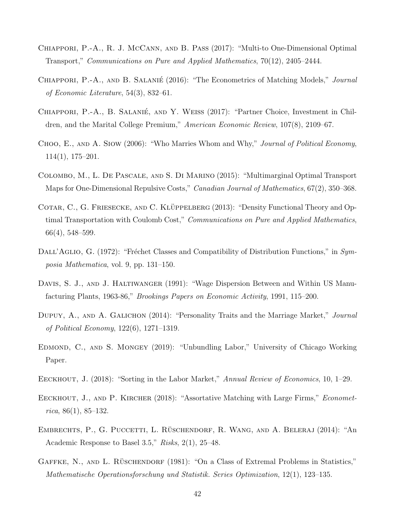- <span id="page-42-5"></span>Chiappori, P.-A., R. J. McCann, and B. Pass (2017): "Multi-to One-Dimensional Optimal Transport," Communications on Pure and Applied Mathematics, 70(12), 2405–2444.
- <span id="page-42-1"></span>CHIAPPORI, P.-A., AND B. SALANIÉ (2016): "The Econometrics of Matching Models," *Journal* of Economic Literature, 54(3), 832–61.
- <span id="page-42-6"></span>CHIAPPORI, P.-A., B. SALANIÉ, AND Y. WEISS (2017): "Partner Choice, Investment in Children, and the Marital College Premium," American Economic Review, 107(8), 2109–67.
- <span id="page-42-3"></span>CHOO, E., AND A. SIOW (2006): "Who Marries Whom and Why," Journal of Political Economy, 114(1), 175–201.
- <span id="page-42-9"></span>Colombo, M., L. De Pascale, and S. Di Marino (2015): "Multimarginal Optimal Transport Maps for One-Dimensional Repulsive Costs," *Canadian Journal of Mathematics*, 67(2), 350–368.
- <span id="page-42-8"></span>COTAR, C., G. FRIESECKE, AND C. KLÜPPELBERG (2013): "Density Functional Theory and Optimal Transportation with Coulomb Cost," Communications on Pure and Applied Mathematics, 66(4), 548–599.
- <span id="page-42-11"></span>DALL'AGLIO, G. (1972): "Fréchet Classes and Compatibility of Distribution Functions," in  $Sym$ posia Mathematica, vol. 9, pp. 131–150.
- <span id="page-42-13"></span>DAVIS, S. J., AND J. HALTIWANGER (1991): "Wage Dispersion Between and Within US Manufacturing Plants, 1963-86," Brookings Papers on Economic Activity, 1991, 115–200.
- <span id="page-42-4"></span>DUPUY, A., AND A. GALICHON (2014): "Personality Traits and the Marriage Market," Journal of Political Economy, 122(6), 1271–1319.
- <span id="page-42-7"></span>Edmond, C., and S. Mongey (2019): "Unbundling Labor," University of Chicago Working Paper.
- <span id="page-42-0"></span>EECKHOUT, J. (2018): "Sorting in the Labor Market," Annual Review of Economics, 10, 1–29.
- <span id="page-42-2"></span>EECKHOUT, J., AND P. KIRCHER (2018): "Assortative Matching with Large Firms," *Economet* $rica, 86(1), 85-132.$
- <span id="page-42-10"></span>EMBRECHTS, P., G. PUCCETTI, L. RÜSCHENDORF, R. WANG, AND A. BELERAJ (2014): "An Academic Response to Basel 3.5," Risks, 2(1), 25–48.
- <span id="page-42-12"></span>GAFFKE, N., AND L. RÜSCHENDORF (1981): "On a Class of Extremal Problems in Statistics," Mathematische Operationsforschung und Statistik. Series Optimization, 12(1), 123–135.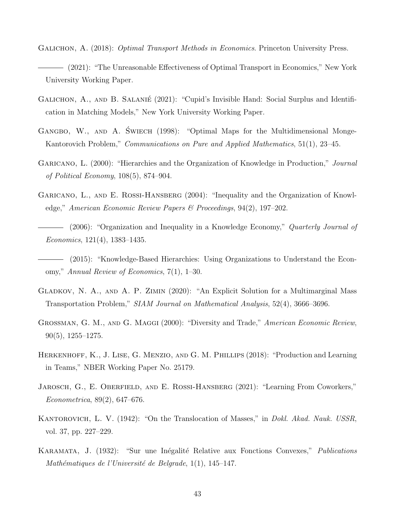- <span id="page-43-4"></span><span id="page-43-0"></span>GALICHON, A. (2018): *Optimal Transport Methods in Economics*. Princeton University Press. (2021): "The Unreasonable Effectiveness of Optimal Transport in Economics," New York University Working Paper.
- <span id="page-43-5"></span>GALICHON, A., AND B. SALANIE<sup></sup> (2021): "Cupid's Invisible Hand: Social Surplus and Identification in Matching Models," New York University Working Paper.
- <span id="page-43-10"></span>GANGBO, W., AND A. SWIECH (1998): "Optimal Maps for the Multidimensional Monge-Kantorovich Problem," Communications on Pure and Applied Mathematics, 51(1), 23–45.
- <span id="page-43-7"></span>GARICANO, L. (2000): "Hierarchies and the Organization of Knowledge in Production," *Journal* of Political Economy, 108(5), 874–904.
- <span id="page-43-8"></span>GARICANO, L., AND E. ROSSI-HANSBERG (2004): "Inequality and the Organization of Knowledge," American Economic Review Papers & Proceedings, 94(2), 197–202.
- <span id="page-43-6"></span>- (2006): "Organization and Inequality in a Knowledge Economy," *Quarterly Journal of* Economics, 121(4), 1383–1435.
- <span id="page-43-9"></span>(2015): "Knowledge-Based Hierarchies: Using Organizations to Understand the Economy," Annual Review of Economics, 7(1), 1–30.
- <span id="page-43-11"></span>Gladkov, N. A., and A. P. Zimin (2020): "An Explicit Solution for a Multimarginal Mass Transportation Problem," SIAM Journal on Mathematical Analysis, 52(4), 3666–3696.
- <span id="page-43-1"></span>GROSSMAN, G. M., AND G. MAGGI (2000): "Diversity and Trade," American Economic Review, 90(5), 1255–1275.
- <span id="page-43-2"></span>HERKENHOFF, K., J. LISE, G. MENZIO, AND G. M. PHILLIPS (2018): "Production and Learning in Teams," NBER Working Paper No. 25179.
- <span id="page-43-3"></span>JAROSCH, G., E. OBERFIELD, AND E. ROSSI-HANSBERG (2021): "Learning From Coworkers," Econometrica, 89(2), 647–676.
- <span id="page-43-12"></span>KANTOROVICH, L. V. (1942): "On the Translocation of Masses," in *Dokl. Akad. Nauk. USSR*, vol. 37, pp. 227–229.
- <span id="page-43-13"></span>KARAMATA, J. (1932): "Sur une Inégalité Relative aux Fonctions Convexes," *Publications* Mathématiques de l'Université de Belgrade, 1(1), 145–147.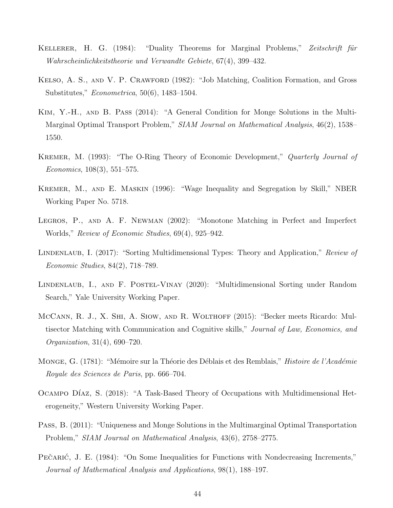- <span id="page-44-1"></span>KELLERER, H. G. (1984): "Duality Theorems for Marginal Problems," Zeitschrift für Wahrscheinlichkeitstheorie und Verwandte Gebiete, 67(4), 399–432.
- <span id="page-44-7"></span>Kelso, A. S., and V. P. Crawford (1982): "Job Matching, Coalition Formation, and Gross Substitutes," Econometrica, 50(6), 1483–1504.
- <span id="page-44-9"></span>Kim, Y.-H., and B. Pass (2014): "A General Condition for Monge Solutions in the Multi-Marginal Optimal Transport Problem," SIAM Journal on Mathematical Analysis, 46(2), 1538– 1550.
- <span id="page-44-0"></span>KREMER, M. (1993): "The O-Ring Theory of Economic Development," *Quarterly Journal of* Economics, 108(3), 551–575.
- <span id="page-44-2"></span>Kremer, M., and E. Maskin (1996): "Wage Inequality and Segregation by Skill," NBER Working Paper No. 5718.
- <span id="page-44-10"></span>Legros, P., and A. F. Newman (2002): "Monotone Matching in Perfect and Imperfect Worlds," Review of Economic Studies, 69(4), 925–942.
- <span id="page-44-4"></span>LINDENLAUB, I. (2017): "Sorting Multidimensional Types: Theory and Application," Review of Economic Studies, 84(2), 718–789.
- <span id="page-44-6"></span>LINDENLAUB, I., AND F. POSTEL-VINAY (2020): "Multidimensional Sorting under Random Search," Yale University Working Paper.
- <span id="page-44-3"></span>McCann, R. J., X. Shi, A. Siow, and R. Wolthoff (2015): "Becker meets Ricardo: Multisector Matching with Communication and Cognitive skills," Journal of Law, Economics, and Organization, 31(4), 690–720.
- <span id="page-44-11"></span>MONGE, G. (1781): "Mémoire sur la Théorie des Déblais et des Remblais," *Histoire de l'Académie* Royale des Sciences de Paris, pp. 666–704.
- <span id="page-44-5"></span>OCAMPO DÍAZ, S. (2018): "A Task-Based Theory of Occupations with Multidimensional Heterogeneity," Western University Working Paper.
- <span id="page-44-8"></span>Pass, B. (2011): "Uniqueness and Monge Solutions in the Multimarginal Optimal Transportation Problem," SIAM Journal on Mathematical Analysis, 43(6), 2758–2775.
- <span id="page-44-12"></span>PECARIC, J. E. (1984): "On Some Inequalities for Functions with Nondecreasing Increments," Journal of Mathematical Analysis and Applications, 98(1), 188–197.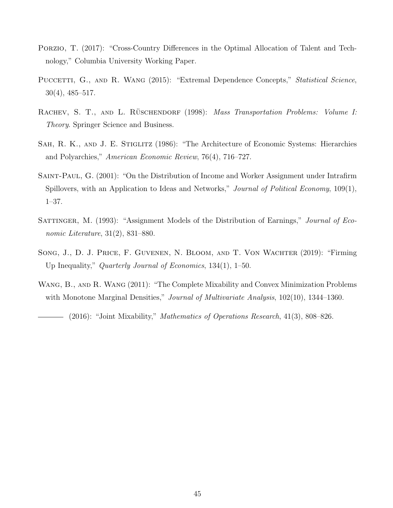- <span id="page-45-4"></span>Porzio, T. (2017): "Cross-Country Differences in the Optimal Allocation of Talent and Technology," Columbia University Working Paper.
- <span id="page-45-6"></span>PUCCETTI, G., AND R. WANG (2015): "Extremal Dependence Concepts," *Statistical Science*, 30(4), 485–517.
- <span id="page-45-8"></span>RACHEV, S. T., AND L. RÜSCHENDORF (1998): Mass Transportation Problems: Volume I: Theory. Springer Science and Business.
- <span id="page-45-0"></span>SAH, R. K., AND J. E. STIGLITZ (1986): "The Architecture of Economic Systems: Hierarchies and Polyarchies," American Economic Review, 76(4), 716–727.
- <span id="page-45-5"></span>SAINT-PAUL, G. (2001): "On the Distribution of Income and Worker Assignment under Intrafirm Spillovers, with an Application to Ideas and Networks," *Journal of Political Economy*, 109(1), 1–37.
- <span id="page-45-3"></span>SATTINGER, M. (1993): "Assignment Models of the Distribution of Earnings," Journal of Economic Literature, 31(2), 831–880.
- <span id="page-45-2"></span>Song, J., D. J. Price, F. Guvenen, N. Bloom, and T. Von Wachter (2019): "Firming Up Inequality," Quarterly Journal of Economics, 134(1), 1–50.
- <span id="page-45-7"></span><span id="page-45-1"></span>WANG, B., AND R. WANG (2011): "The Complete Mixability and Convex Minimization Problems with Monotone Marginal Densities," *Journal of Multivariate Analysis*, 102(10), 1344–1360.

 $-$  (2016): "Joint Mixability," *Mathematics of Operations Research*, 41(3), 808–826.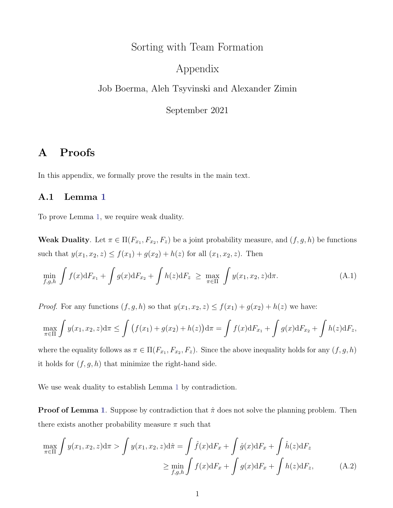## Sorting with Team Formation

### Appendix

Job Boerma, Aleh Tsyvinski and Alexander Zimin

<span id="page-46-1"></span>September 2021

### A Proofs

In this appendix, we formally prove the results in the main text.

### <span id="page-46-0"></span>A.1 Lemma [1](#page-13-1)

To prove Lemma [1,](#page-13-1) we require weak duality.

**Weak Duality**. Let  $\pi \in \Pi(F_{x_1}, F_{x_2}, F_z)$  be a joint probability measure, and  $(f, g, h)$  be functions such that  $y(x_1, x_2, z) \le f(x_1) + g(x_2) + h(z)$  for all  $(x_1, x_2, z)$ . Then

$$
\min_{f,g,h} \int f(x) dF_{x_1} + \int g(x) dF_{x_2} + \int h(z) dF_z \ge \max_{\pi \in \Pi} \int y(x_1, x_2, z) d\pi.
$$
 (A.1)

*Proof.* For any functions  $(f, g, h)$  so that  $y(x_1, x_2, z) \le f(x_1) + g(x_2) + h(z)$  we have:

$$
\max_{\pi \in \Pi} \int y(x_1, x_2, z) d\pi \le \int (f(x_1) + g(x_2) + h(z)) d\pi = \int f(x) dF_{x_1} + \int g(x) dF_{x_2} + \int h(z) dF_z,
$$

where the equality follows as  $\pi \in \Pi(F_{x_1}, F_{x_2}, F_z)$ . Since the above inequality holds for any  $(f, g, h)$ it holds for  $(f, g, h)$  that minimize the right-hand side.

We use weak duality to establish Lemma [1](#page-13-1) by contradiction.

**Proof of Lemma [1](#page-13-1).** Suppose by contradiction that  $\hat{\pi}$  does not solve the planning problem. Then there exists another probability measure  $\pi$  such that

$$
\max_{\pi \in \Pi} \int y(x_1, x_2, z) d\pi > \int y(x_1, x_2, z) d\hat{\pi} = \int \hat{f}(x) dF_x + \int \hat{g}(x) dF_x + \int \hat{h}(z) dF_z
$$

$$
\geq \min_{f, g, h} \int f(x) dF_x + \int g(x) dF_x + \int h(z) dF_z, \tag{A.2}
$$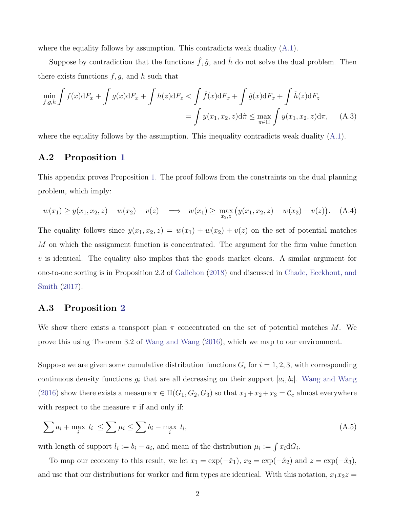where the equality follows by assumption. This contradicts weak duality  $(A.1)$ .

Suppose by contradiction that the functions  $\hat{f}, \hat{g}$ , and  $\hat{h}$  do not solve the dual problem. Then there exists functions  $f, g$ , and h such that

$$
\min_{f,g,h} \int f(x) dF_x + \int g(x) dF_x + \int h(z) dF_z < \int \hat{f}(x) dF_x + \int \hat{g}(x) dF_x + \int \hat{h}(z) dF_z
$$
\n
$$
= \int y(x_1, x_2, z) d\hat{\pi} \le \max_{\pi \in \Pi} \int y(x_1, x_2, z) d\pi, \quad (A.3)
$$

where the equality follows by the assumption. This inequality contradicts weak duality  $(A.1)$ .

#### <span id="page-47-0"></span>A.2 Proposition [1](#page-14-0)

This appendix proves Proposition [1.](#page-14-0) The proof follows from the constraints on the dual planning problem, which imply:

$$
w(x_1) \ge y(x_1, x_2, z) - w(x_2) - v(z) \implies w(x_1) \ge \max_{x_2, z} (y(x_1, x_2, z) - w(x_2) - v(z)). \quad (A.4)
$$

The equality follows since  $y(x_1, x_2, z) = w(x_1) + w(x_2) + v(z)$  on the set of potential matches M on which the assignment function is concentrated. The argument for the firm value function  $v$  is identical. The equality also implies that the goods market clears. A similar argument for one-to-one sorting is in Proposition 2.3 of [Galichon](#page-43-4) [\(2018\)](#page-43-4) and discussed in [Chade, Eeckhout, and](#page-41-7) [Smith](#page-41-7) [\(2017\)](#page-41-7).

### <span id="page-47-1"></span>A.3 Proposition [2](#page-26-3)

We show there exists a transport plan  $\pi$  concentrated on the set of potential matches M. We prove this using Theorem 3.2 of [Wang and Wang](#page-45-1) [\(2016\)](#page-45-1), which we map to our environment.

Suppose we are given some cumulative distribution functions  $G_i$  for  $i = 1, 2, 3$ , with corresponding continuous density functions  $g_i$  that are all decreasing on their support  $[a_i, b_i]$ . [Wang and Wang](#page-45-1) [\(2016\)](#page-45-1) show there exists a measure  $\pi \in \Pi(G_1, G_2, G_3)$  so that  $x_1 + x_2 + x_3 = C_e$  almost everywhere with respect to the measure  $\pi$  if and only if:

<span id="page-47-2"></span>
$$
\sum a_i + \max_i l_i \le \sum \mu_i \le \sum b_i - \max_i l_i,
$$
\n(A.5)

with length of support  $l_i := b_i - a_i$ , and mean of the distribution  $\mu_i := \int x_i dG_i$ .

To map our economy to this result, we let  $x_1 = \exp(-\hat{x}_1)$ ,  $x_2 = \exp(-\hat{x}_2)$  and  $z = \exp(-\hat{x}_3)$ , and use that our distributions for worker and firm types are identical. With this notation,  $x_1x_2z =$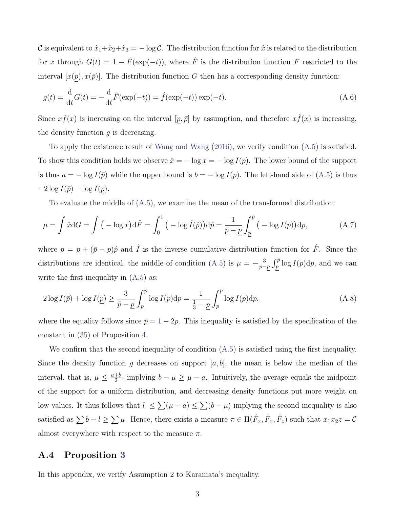C is equivalent to  $\hat{x}_1+\hat{x}_2+\hat{x}_3=-\log C$ . The distribution function for  $\hat{x}$  is related to the distribution for x through  $G(t) = 1 - \hat{F}(\exp(-t))$ , where  $\hat{F}$  is the distribution function F restricted to the interval  $[x(p), x(\bar{p})]$ . The distribution function G then has a corresponding density function:

$$
g(t) = \frac{d}{dt}G(t) = -\frac{d}{dt}\hat{F}(\exp(-t)) = \hat{f}(\exp(-t))\exp(-t).
$$
 (A.6)

Since  $xf(x)$  is increasing on the interval  $[p, \bar{p}]$  by assumption, and therefore  $x\hat{f}(x)$  is increasing, the density function  $q$  is decreasing.

To apply the existence result of [Wang and Wang](#page-45-1) [\(2016\)](#page-45-1), we verify condition [\(A.5\)](#page-47-2) is satisfied. To show this condition holds we observe  $\hat{x} = -\log x = -\log I(p)$ . The lower bound of the support is thus  $a = -\log I(\bar{p})$  while the upper bound is  $b = -\log I(\bar{p})$ . The left-hand side of [\(A.5\)](#page-47-2) is thus  $-2 \log I(\bar{p}) - \log I(p).$ 

To evaluate the middle of [\(A.5\)](#page-47-2), we examine the mean of the transformed distribution:

$$
\mu = \int \hat{x} dG = \int \left( -\log x \right) d\hat{F} = \int_0^1 \left( -\log \hat{I}(\hat{p}) \right) d\hat{p} = \frac{1}{\bar{p} - \underline{p}} \int_{\underline{p}}^{\bar{p}} \left( -\log I(p) \right) dp, \tag{A.7}
$$

where  $p = \underline{p} + (\bar{p} - \underline{p})\hat{p}$  and  $\hat{I}$  is the inverse cumulative distribution function for  $\hat{F}$ . Since the distributions are identical, the middle of condition [\(A.5\)](#page-47-2) is  $\mu = -\frac{3}{2}$  $\frac{3}{\bar{p}-p} \int_p^{\bar{p}} \log I(p) dp$ , and we can write the first inequality in [\(A.5\)](#page-47-2) as:

$$
2\log I(\bar{p}) + \log I(\underline{p}) \ge \frac{3}{\bar{p} - \underline{p}} \int_{\underline{p}}^{\bar{p}} \log I(p) \mathrm{d}p = \frac{1}{\frac{1}{3} - \underline{p}} \int_{\underline{p}}^{\bar{p}} \log I(p) \mathrm{d}p,\tag{A.8}
$$

where the equality follows since  $\bar{p} = 1 - 2p$ . This inequality is satisfied by the specification of the constant in [\(35\)](#page-29-1) of Proposition [4.](#page-29-0)

We confirm that the second inequality of condition  $(A.5)$  is satisfied using the first inequality. Since the density function g decreases on support [a, b], the mean is below the median of the interval, that is,  $\mu \leq \frac{a+b}{2}$  $\frac{+b}{2}$ , implying  $b - \mu \ge \mu - a$ . Intuitively, the average equals the midpoint of the support for a uniform distribution, and decreasing density functions put more weight on low values. It thus follows that  $l \leq \sum(\mu - a) \leq \sum(b - \mu)$  implying the second inequality is also satisfied as  $\sum b - l \geq \sum \mu$ . Hence, there exists a measure  $\pi \in \Pi(\hat{F}_x, \hat{F}_x, \hat{F}_z)$  such that  $x_1x_2z = C$ almost everywhere with respect to the measure  $\pi$ .

#### <span id="page-48-0"></span>A.4 Proposition [3](#page-28-0)

In this appendix, we verify Assumption 2 to Karamata's inequality.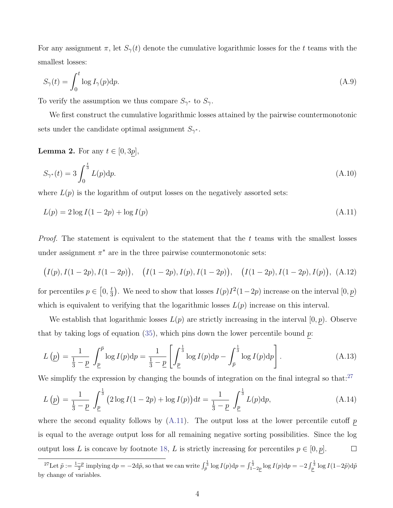For any assignment  $\pi$ , let  $S_{\gamma}(t)$  denote the cumulative logarithmic losses for the t teams with the smallest losses:

$$
S_{\gamma}(t) = \int_0^t \log I_{\gamma}(p) \mathrm{d}p. \tag{A.9}
$$

To verify the assumption we thus compare  $S_{\gamma^*}$  to  $S_{\gamma}$ .

We first construct the cumulative logarithmic losses attained by the pairwise countermonotonic sets under the candidate optimal assignment  $S_{\gamma^*}$ .

#### <span id="page-49-0"></span>**Lemma 2.** For any  $t \in [0, 3p]$ ,

<span id="page-49-2"></span>
$$
S_{\gamma^*}(t) = 3 \int_0^{\frac{t}{3}} L(p) \mathrm{d}p. \tag{A.10}
$$

where  $L(p)$  is the logarithm of output losses on the negatively assorted sets:

$$
L(p) = 2\log I(1 - 2p) + \log I(p) \tag{A.11}
$$

*Proof.* The statement is equivalent to the statement that the  $t$  teams with the smallest losses under assignment  $\pi^*$  are in the three pairwise countermonotonic sets:

$$
(I(p), I(1-2p), I(1-2p)), (I(1-2p), I(p), I(1-2p)), (I(1-2p), I(1-2p), I(p)), (A.12)
$$

for percentiles  $p \in [0, \frac{t}{3}]$  $\frac{t}{3}$ . We need to show that losses  $I(p)I^2(1-2p)$  increase on the interval  $[0, \underline{p})$ which is equivalent to verifying that the logarithmic losses  $L(p)$  increase on this interval.

We establish that logarithmic losses  $L(p)$  are strictly increasing in the interval  $[0, p)$ . Observe that by taking logs of equation [\(35\)](#page-29-1), which pins down the lower percentile bound  $p$ :

$$
L(\underline{p}) = \frac{1}{\frac{1}{3} - \underline{p}} \int_{\underline{p}}^{\overline{p}} \log I(p) dp = \frac{1}{\frac{1}{3} - \underline{p}} \left[ \int_{\underline{p}}^{\frac{1}{3}} \log I(p) dp - \int_{\overline{p}}^{\frac{1}{3}} \log I(p) dp \right].
$$
 (A.13)

We simplify the expression by changing the bounds of integration on the final integral so that:<sup>[27](#page-49-1)</sup>

$$
L\left(\underline{p}\right) = \frac{1}{\frac{1}{3} - \underline{p}} \int_{\underline{p}}^{\frac{1}{3}} \left(2\log I(1 - 2p) + \log I(p)\right) dt = \frac{1}{\frac{1}{3} - \underline{p}} \int_{\underline{p}}^{\frac{1}{3}} L(p) dp,
$$
\n(A.14)

where the second equality follows by  $(A.11)$ . The output loss at the lower percentile cutoff p is equal to the average output loss for all remaining negative sorting possibilities. Since the log output loss L is concave by footnote [18,](#page-26-1) L is strictly increasing for percentiles  $p \in [0, p]$ .  $\Box$ 

<span id="page-49-1"></span><sup>&</sup>lt;sup>27</sup>Let  $\tilde{p} := \frac{1-p}{2}$  implying  $dp = -2d\tilde{p}$ , so that we can write  $\int_{\tilde{p}}^{\frac{1}{3}} \log I(p) dp = \int_{1-2p}^{\frac{1}{3}} \log I(p) dp = -2 \int_{p}^{\frac{1}{3}} \log I(1-2\tilde{p}) d\tilde{p}$ by change of variables.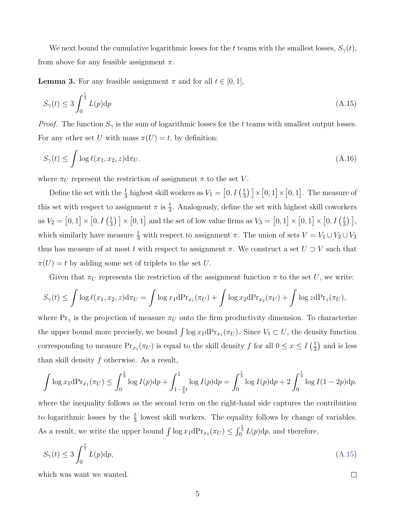We next bound the cumulative logarithmic losses for the t teams with the smallest losses,  $S_{\gamma}(t)$ , from above for any feasible assignment  $\pi$ .

<span id="page-50-0"></span>**Lemma 3.** For any feasible assignment  $\pi$  and for all  $t \in [0, 1]$ ,

<span id="page-50-1"></span>
$$
S_{\gamma}(t) \le 3 \int_0^{\frac{t}{3}} L(p) \mathrm{d}p \tag{A.15}
$$

*Proof.* The function  $S_{\gamma}$  is the sum of logarithmic losses for the t teams with smallest output losses. For any other set U with mass  $\pi(U) = t$ , by definition:

$$
S_{\gamma}(t) \le \int \log \ell(x_1, x_2, z) d\pi_U.
$$
\n(A.16)

where  $\pi_U$  represent the restriction of assignment  $\pi$  to the set V.

Define the set with the  $\frac{t}{3}$  highest skill workers as  $V_1 = \left[0, I\left(\frac{t}{3}\right)\right]$  $(\frac{t}{3})$   $] \times [0,1] \times [0,1]$ . The measure of this set with respect to assignment  $\pi$  is  $\frac{t}{3}$ . Analogously, define the set with highest skill coworkers as  $V_2 = [0, 1] \times [0, I(\frac{t}{3})]$  $\left[\frac{t}{3}\right] \times [0,1]$  and the set of low value firms as  $V_3 = [0,1] \times [0,1] \times [0,I]$  ( $\frac{t}{3}$ )  $\frac{t}{3}$ )], which similarly have measure  $\frac{t}{3}$  with respect to assignment  $\pi$ . The union of sets  $V = V_1 \cup V_2 \cup V_3$ thus has measure of at most t with respect to assignment  $\pi$ . We construct a set  $U \supset V$  such that  $\pi(U) = t$  by adding some set of triplets to the set U.

Given that  $\pi_U$  represents the restriction of the assignment function  $\pi$  to the set U, we write:

$$
S_{\gamma}(t) \leq \int \log \ell(x_1, x_2, z) d\pi_U = \int \log x_1 d\pi_{x_1}(\pi_U) + \int \log x_2 d\pi_{x_2}(\pi_U) + \int \log z d\pi_{x_2}(\pi_U),
$$

where  $Pr_z$  is the projection of measure  $\pi_U$  onto the firm productivity dimension. To characterize the upper bound more precisely, we bound  $\int \log x_1 dPr_{x_1}(\pi_U)$ . Since  $V_1 \subset U$ , the density function corresponding to measure  $Pr_{x_1}(\pi_U)$  is equal to the skill density f for all  $0 \le x \le I$   $\left(\frac{t}{3}\right)$  $(\frac{t}{3})$  and is less than skill density f otherwise. As a result,

$$
\int \log x_1 dPr_{x_1}(\pi_U) \le \int_0^{\frac{t}{3}} \log I(p) dp + \int_{1-\frac{2}{3}t}^1 \log I(p) dp = \int_0^{\frac{t}{3}} \log I(p) dp + 2 \int_0^{\frac{t}{3}} \log I(1-2p) dp.
$$

where the inequality follows as the second term on the right-hand side captures the contribution to logarithmic losses by the  $\frac{t}{3}$  lowest skill workers. The equality follows by change of variables. As a result, we write the upper bound  $\int \log x_1 dPr_{x_1}(\pi_U) \leq \int_0^{\frac{t}{3}} L(p) dp$ , and therefore,

$$
S_{\gamma}(t) \le 3 \int_0^{\frac{t}{3}} L(p) \mathrm{d}p,\tag{A.15}
$$

 $\Box$ 

which was want we wanted.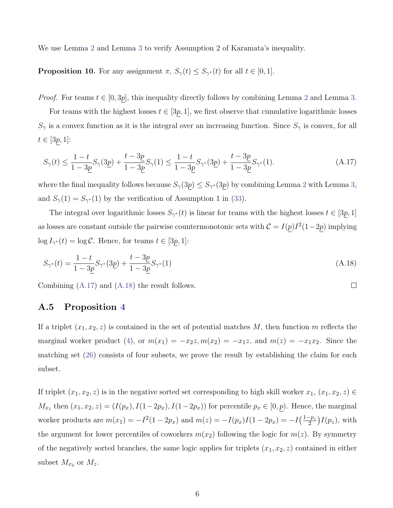We use Lemma [2](#page-49-0) and Lemma [3](#page-50-0) to verify Assumption 2 of Karamata's inequality.

**Proposition 10.** For any assignment  $\pi$ ,  $S_{\gamma}(t) \leq S_{\gamma^*}(t)$  for all  $t \in [0,1]$ .

*Proof.* For teams  $t \in [0, 3p]$ , this inequality directly follows by combining Lemma [2](#page-49-0) and Lemma [3.](#page-50-0)

For teams with the highest losses  $t \in [3p, 1]$ , we first observe that cumulative logarithmic losses  $S_{\gamma}$  is a convex function as it is the integral over an increasing function. Since  $S_{\gamma}$  is convex, for all  $t \in [3p, 1]$ :

<span id="page-51-1"></span>
$$
S_{\gamma}(t) \le \frac{1-t}{1-3\underline{p}} S_{\gamma}(3\underline{p}) + \frac{t-3\underline{p}}{1-3\underline{p}} S_{\gamma}(1) \le \frac{1-t}{1-3\underline{p}} S_{\gamma^*}(3\underline{p}) + \frac{t-3\underline{p}}{1-3\underline{p}} S_{\gamma^*}(1). \tag{A.17}
$$

where the final inequality follows because  $S_{\gamma}(3p) \leq S_{\gamma^*}(3p)$  by combining Lemma [2](#page-49-0) with Lemma [3,](#page-50-0) and  $S_{\gamma}(1) = S_{\gamma^*}(1)$  by the verification of Assumption 1 in [\(33\)](#page-28-1).

The integral over logarithmic losses  $S_{\gamma^*}(t)$  is linear for teams with the highest losses  $t \in [3p, 1]$ as losses are constant outside the pairwise countermonotonic sets with  $C = I(p)I^2(1-2p)$  implying  $\log I_{\gamma^*}(t) = \log C$ . Hence, for teams  $t \in [3p, 1]$ :

<span id="page-51-2"></span>
$$
S_{\gamma^*}(t) = \frac{1-t}{1-3\underline{p}} S_{\gamma^*}(3\underline{p}) + \frac{t-3\underline{p}}{1-3\underline{p}} S_{\gamma^*}(1)
$$
\n(A.18)

 $\Box$ 

Combining [\(A.17\)](#page-51-1) and [\(A.18\)](#page-51-2) the result follows.

### <span id="page-51-0"></span>A.5 Proposition [4](#page-29-0)

If a triplet  $(x_1, x_2, z)$  is contained in the set of potential matches M, then function m reflects the marginal worker product [\(4\)](#page-10-1), or  $m(x_1) = -x_2z, m(x_2) = -x_1z$ , and  $m(z) = -x_1x_2$ . Since the matching set [\(26\)](#page-23-0) consists of four subsets, we prove the result by establishing the claim for each subset.

If triplet  $(x_1, x_2, z)$  is in the negative sorted set corresponding to high skill worker  $x_1, (x_1, x_2, z) \in$  $M_{x_1}$  then  $(x_1, x_2, z) = (I(p_x), I(1-2p_x), I(1-2p_x))$  for percentile  $p_x \in [0, p)$ . Hence, the marginal worker products are  $m(x_1) = -I^2(1 - 2p_x)$  and  $m(z) = -I(p_x)I(1 - 2p_x) = -I(\frac{1-p_x}{2})$  $\frac{-p_z}{2}\big)I(p_z), \text{ with}$ the argument for lower percentiles of coworkers  $m(x_2)$  following the logic for  $m(z)$ . By symmetry of the negatively sorted branches, the same logic applies for triplets  $(x_1, x_2, z)$  contained in either subset  $M_{x_2}$  or  $M_z$ .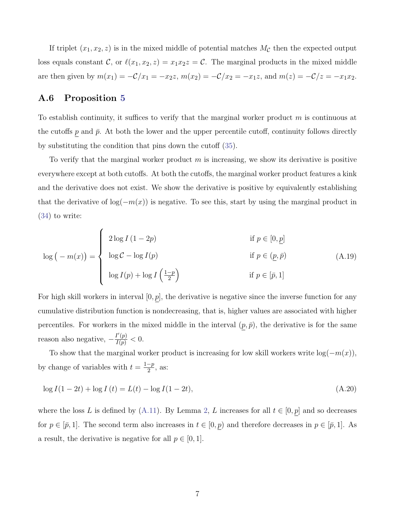If triplet  $(x_1, x_2, z)$  is in the mixed middle of potential matches  $M_{\mathcal{C}}$  then the expected output loss equals constant C, or  $\ell(x_1, x_2, z) = x_1x_2z = C$ . The marginal products in the mixed middle are then given by  $m(x_1) = -C/x_1 = -x_2z$ ,  $m(x_2) = -C/x_2 = -x_1z$ , and  $m(z) = -C/z = -x_1x_2$ .

#### <span id="page-52-0"></span>A.6 Proposition [5](#page-30-0)

To establish continuity, it suffices to verify that the marginal worker product  $m$  is continuous at the cutoffs p and  $\bar{p}$ . At both the lower and the upper percentile cutoff, continuity follows directly by substituting the condition that pins down the cutoff [\(35\)](#page-29-1).

To verify that the marginal worker product  $m$  is increasing, we show its derivative is positive everywhere except at both cutoffs. At both the cutoffs, the marginal worker product features a kink and the derivative does not exist. We show the derivative is positive by equivalently establishing that the derivative of  $log(-m(x))$  is negative. To see this, start by using the marginal product in [\(34\)](#page-29-2) to write:

$$
\log(-m(x)) = \begin{cases} 2\log I (1 - 2p) & \text{if } p \in [0, \underline{p}] \\ \log C - \log I(p) & \text{if } p \in (\underline{p}, \overline{p}) \\ \log I(p) + \log I(\frac{1 - p}{2}) & \text{if } p \in [\overline{p}, 1] \end{cases}
$$
(A.19)

For high skill workers in interval  $[0, p]$ , the derivative is negative since the inverse function for any cumulative distribution function is nondecreasing, that is, higher values are associated with higher percentiles. For workers in the mixed middle in the interval  $(p, \bar{p})$ , the derivative is for the same reason also negative,  $-\frac{I'(p)}{I(p)} < 0$ .

To show that the marginal worker product is increasing for low skill workers write  $log(-m(x)),$ by change of variables with  $t = \frac{1-p}{2}$  $\frac{-p}{2}$ , as:

$$
\log I(1 - 2t) + \log I(t) = L(t) - \log I(1 - 2t),\tag{A.20}
$$

where the loss L is defined by [\(A.11\)](#page-49-2). By Lemma [2,](#page-49-0) L increases for all  $t \in [0, p]$  and so decreases for  $p \in [\bar{p}, 1]$ . The second term also increases in  $t \in [0, p)$  and therefore decreases in  $p \in [\bar{p}, 1]$ . As a result, the derivative is negative for all  $p \in [0, 1]$ .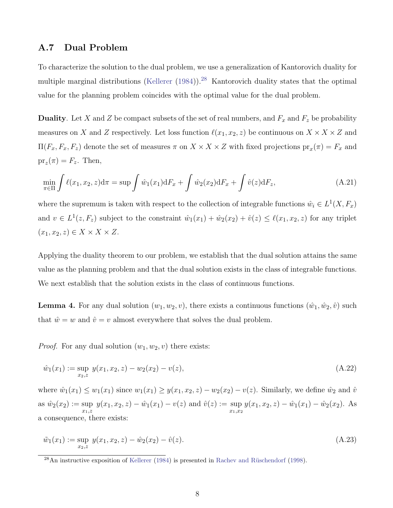### <span id="page-53-0"></span>A.7 Dual Problem

To characterize the solution to the dual problem, we use a generalization of Kantorovich duality for multiple marginal distributions [\(Kellerer](#page-44-1)  $(1984)$ ).<sup>[28](#page-53-1)</sup> Kantorovich duality states that the optimal value for the planning problem coincides with the optimal value for the dual problem.

**Duality.** Let X and Z be compact subsets of the set of real numbers, and  $F_x$  and  $F_z$  be probability measures on X and Z respectively. Let loss function  $\ell(x_1, x_2, z)$  be continuous on  $X \times X \times Z$  and  $\Pi(F_x, F_x, F_z)$  denote the set of measures  $\pi$  on  $X \times X \times Z$  with fixed projections  $pr_x(\pi) = F_x$  and  $pr_z(\pi) = F_z$ . Then,

$$
\min_{\pi \in \Pi} \int \ell(x_1, x_2, z) d\pi = \sup \int \hat{w}_1(x_1) dF_x + \int \hat{w}_2(x_2) dF_x + \int \hat{v}(z) dF_z,
$$
\n(A.21)

where the supremum is taken with respect to the collection of integrable functions  $\hat{w}_i \in L^1(X, F_x)$ and  $v \in L^1(z, F_z)$  subject to the constraint  $\hat{w}_1(x_1) + \hat{w}_2(x_2) + \hat{v}(z) \leq \ell(x_1, x_2, z)$  for any triplet  $(x_1, x_2, z) \in X \times X \times Z$ .

Applying the duality theorem to our problem, we establish that the dual solution attains the same value as the planning problem and that the dual solution exists in the class of integrable functions. We next establish that the solution exists in the class of continuous functions.

**Lemma 4.** For any dual solution  $(w_1, w_2, v)$ , there exists a continuous functions  $(\hat{w}_1, \hat{w}_2, \hat{v})$  such that  $\hat{w} = w$  and  $\hat{v} = v$  almost everywhere that solves the dual problem.

*Proof.* For any dual solution  $(w_1, w_2, v)$  there exists:

$$
\hat{w}_1(x_1) := \sup_{x_2, z} y(x_1, x_2, z) - w_2(x_2) - v(z),
$$
\n(A.22)

where  $\hat{w}_1(x_1) \leq w_1(x_1)$  since  $w_1(x_1) \geq y(x_1, x_2, z) - w_2(x_2) - v(z)$ . Similarly, we define  $\hat{w}_2$  and  $\hat{v}$ as  $\hat{w}_2(x_2) := \sup$  $x_1, z$  $y(x_1, x_2, z) - \hat{w}_1(x_1) - v(z)$  and  $\hat{v}(z) := \sup$  $x_1,x_2$  $y(x_1, x_2, z) - \hat{w}_1(x_1) - \hat{w}_2(x_2)$ . As a consequence, there exists:

$$
\tilde{w}_1(x_1) := \sup_{x_2, z} y(x_1, x_2, z) - \hat{w}_2(x_2) - \hat{v}(z).
$$
\n(A.23)

<span id="page-53-1"></span> $^{28}$ An instructive exposition of [Kellerer](#page-44-1) [\(1984\)](#page-44-1) is presented in Rachev and Rüschendorf [\(1998\)](#page-45-8).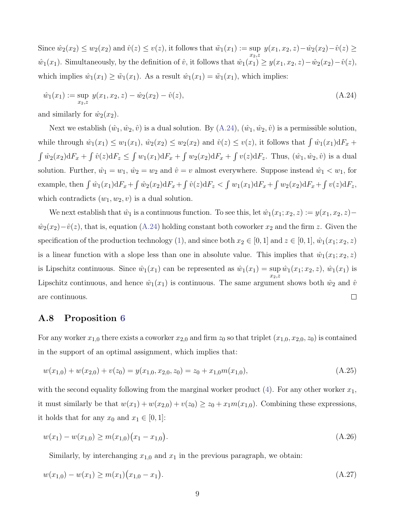Since  $\hat{w}_2(x_2) \leq w_2(x_2)$  and  $\hat{v}(z) \leq v(z)$ , it follows that  $\tilde{w}_1(x_1) := \sup y(x_1, x_2, z) - \hat{w}_2(x_2) - \hat{v}(z) \geq$  $x_2, z$  $\hat{w}_1(x_1)$ . Simultaneously, by the definition of  $\hat{v}$ , it follows that  $\hat{w}_1(x_1) \geq y(x_1, x_2, z) - \hat{w}_2(x_2) - \hat{v}(z)$ , which implies  $\hat{w}_1(x_1) \ge \tilde{w}_1(x_1)$ . As a result  $\hat{w}_1(x_1) = \tilde{w}_1(x_1)$ , which implies:

<span id="page-54-1"></span>
$$
\hat{w}_1(x_1) := \sup_{x_2, z} y(x_1, x_2, z) - \hat{w}_2(x_2) - \hat{v}(z),
$$
\n(A.24)

and similarly for  $\hat{w}_2(x_2)$ .

Next we establish  $(\hat{w}_1,\hat{w}_2,\hat{v})$  is a dual solution. By  $(A.24), (\hat{w}_1,\hat{w}_2,\hat{v})$  $(A.24), (\hat{w}_1,\hat{w}_2,\hat{v})$  is a permissible solution, while through  $\hat{w}_1(x_1) \leq w_1(x_1)$ ,  $\hat{w}_2(x_2) \leq w_2(x_2)$  and  $\hat{v}(z) \leq v(z)$ , it follows that  $\int \hat{w}_1(x_1) dF_x$  +  $\int \hat{w}_2(x_2) dF_x + \int \hat{v}(z) dF_z \leq \int w_1(x_1) dF_x + \int w_2(x_2) dF_x + \int v(z) dF_z$ . Thus,  $(\hat{w}_1, \hat{w}_2, \hat{v})$  is a dual solution. Further,  $\hat{w}_1 = w_1$ ,  $\hat{w}_2 = w_2$  and  $\hat{v} = v$  almost everywhere. Suppose instead  $\hat{w}_1 < w_1$ , for example, then  $\int \hat{w}_1(x_1) dF_x + \int \hat{w}_2(x_2) dF_x + \int \hat{v}(z) dF_z < \int w_1(x_1) dF_x + \int w_2(x_2) dF_x + \int v(z) dF_z$ , which contradicts  $(w_1, w_2, v)$  is a dual solution.

We next establish that  $\hat{w}_1$  is a continuous function. To see this, let  $\hat{w}_1(x_1; x_2, z) := y(x_1, x_2, z) \hat{w}_2(x_2)-\hat{v}(z)$ , that is, equation [\(A.24\)](#page-54-1) holding constant both coworker  $x_2$  and the firm z. Given the specification of the production technology [\(1\)](#page-2-1), and since both  $x_2 \in [0, 1]$  and  $z \in [0, 1]$ ,  $\hat{w}_1(x_1; x_2, z)$ is a linear function with a slope less than one in absolute value. This implies that  $\hat{w}_1(x_1; x_2, z)$ is Lipschitz continuous. Since  $\hat{w}_1(x_1)$  can be represented as  $\hat{w}_1(x_1) = \sup$  $\hat{w}_1(x_1; x_2, z)$ ,  $\hat{w}_1(x_1)$  is  $\overline{x_2}$ ,z Lipschitz continuous, and hence  $\hat{w}_1(x_1)$  is continuous. The same argument shows both  $\hat{w}_2$  and  $\hat{v}_3$  $\Box$ are continuous.

### <span id="page-54-0"></span>A.8 Proposition [6](#page-31-0)

For any worker  $x_{1,0}$  there exists a coworker  $x_{2,0}$  and firm  $z_0$  so that triplet  $(x_{1,0}, x_{2,0}, z_0)$  is contained in the support of an optimal assignment, which implies that:

$$
w(x_{1,0}) + w(x_{2,0}) + v(z_0) = y(x_{1,0}, x_{2,0}, z_0) = z_0 + x_{1,0}m(x_{1,0}),
$$
\n(A.25)

with the second equality following from the marginal worker product  $(4)$ . For any other worker  $x_1$ , it must similarly be that  $w(x_1) + w(x_{2,0}) + v(z_0) \ge z_0 + x_1 m(x_{1,0})$ . Combining these expressions, it holds that for any  $x_0$  and  $x_1 \in [0, 1]$ :

<span id="page-54-2"></span>
$$
w(x_1) - w(x_{1,0}) \ge m(x_{1,0})(x_1 - x_{1,0}). \tag{A.26}
$$

<span id="page-54-3"></span>Similarly, by interchanging  $x_{1,0}$  and  $x_1$  in the previous paragraph, we obtain:

$$
w(x_{1,0}) - w(x_1) \ge m(x_1)(x_{1,0} - x_1). \tag{A.27}
$$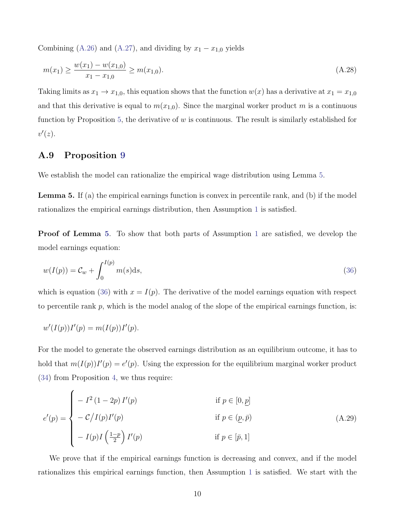Combining [\(A.26\)](#page-54-2) and [\(A.27\)](#page-54-3), and dividing by  $x_1 - x_{1,0}$  yields

$$
m(x_1) \ge \frac{w(x_1) - w(x_{1,0})}{x_1 - x_{1,0}} \ge m(x_{1,0}).
$$
\n(A.28)

Taking limits as  $x_1 \to x_{1,0}$ , this equation shows that the function  $w(x)$  has a derivative at  $x_1 = x_{1,0}$ and that this derivative is equal to  $m(x_{1,0})$ . Since the marginal worker product m is a continuous function by Proposition [5,](#page-30-0) the derivative of  $w$  is continuous. The result is similarly established for  $v'(z)$ .

### <span id="page-55-0"></span>A.9 Proposition [9](#page-35-1)

<span id="page-55-1"></span>We establish the model can rationalize the empirical wage distribution using Lemma [5.](#page-55-1)

Lemma 5. If (a) the empirical earnings function is convex in percentile rank, and (b) if the model rationalizes the empirical earnings distribution, then Assumption [1](#page-25-0) is satisfied.

**Proof of Lemma** [5](#page-55-1). To show that both parts of Assumption [1](#page-25-0) are satisfied, we develop the model earnings equation:

<span id="page-55-2"></span>
$$
w(I(p)) = \mathcal{C}_w + \int_0^{I(p)} m(s) \, \mathrm{d}s,\tag{36}
$$

which is equation [\(36\)](#page-31-3) with  $x = I(p)$ . The derivative of the model earnings equation with respect to percentile rank  $p$ , which is the model analog of the slope of the empirical earnings function, is:

$$
w'(I(p))I'(p) = m(I(p))I'(p).
$$

For the model to generate the observed earnings distribution as an equilibrium outcome, it has to hold that  $m(I(p))I'(p) = e'(p)$ . Using the expression for the equilibrium marginal worker product [\(34\)](#page-29-2) from Proposition [4,](#page-29-0) we thus require:

$$
e'(p) = \begin{cases}\n-I^2 (1 - 2p) I'(p) & \text{if } p \in [0, \underline{p}] \\
-C/I(p) I'(p) & \text{if } p \in (\underline{p}, \overline{p}) \\
-I(p) I\left(\frac{1 - p}{2}\right) I'(p) & \text{if } p \in [\overline{p}, 1]\n\end{cases}
$$
\n(A.29)

We prove that if the empirical earnings function is decreasing and convex, and if the model rationalizes this empirical earnings function, then Assumption [1](#page-25-0) is satisfied. We start with the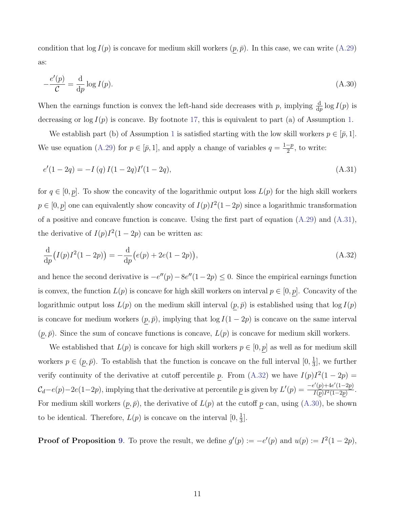<span id="page-56-2"></span>condition that  $\log I(p)$  is concave for medium skill workers  $(p, \bar{p})$ . In this case, we can write [\(A.29\)](#page-55-2) as:

$$
-\frac{e'(p)}{\mathcal{C}} = \frac{\mathrm{d}}{\mathrm{d}p} \log I(p). \tag{A.30}
$$

When the earnings function is convex the left-hand side decreases with p, implying  $\frac{d}{dp} \log I(p)$  is decreasing or  $\log I(p)$  is concave. By footnote [17,](#page-26-0) this is equivalent to part (a) of Assumption [1.](#page-25-0)

We establish part (b) of Assumption [1](#page-25-0) is satisfied starting with the low skill workers  $p \in [\bar{p}, 1]$ . We use equation [\(A.29\)](#page-55-2) for  $p \in [\bar{p}, 1]$ , and apply a change of variables  $q = \frac{1-p}{2}$  $\frac{-p}{2}$ , to write:

<span id="page-56-0"></span>
$$
e'(1 - 2q) = -I(q)I(1 - 2q)I'(1 - 2q),
$$
\n(A.31)

for  $q \in [0, p]$ . To show the concavity of the logarithmic output loss  $L(p)$  for the high skill workers  $p \in [0, p]$  one can equivalently show concavity of  $I(p)I^2(1-2p)$  since a logarithmic transformation of a positive and concave function is concave. Using the first part of equation  $(A.29)$  and  $(A.31)$ , the derivative of  $I(p)I^2(1-2p)$  can be written as:

<span id="page-56-1"></span>
$$
\frac{\mathrm{d}}{\mathrm{d}p}(I(p)I^2(1-2p)) = -\frac{\mathrm{d}}{\mathrm{d}p}(e(p) + 2e(1-2p)),\tag{A.32}
$$

and hence the second derivative is  $-e''(p) - 8e''(1-2p) \le 0$ . Since the empirical earnings function is convex, the function  $L(p)$  is concave for high skill workers on interval  $p \in [0, p]$ . Concavity of the logarithmic output loss  $L(p)$  on the medium skill interval  $(p, \bar{p})$  is established using that  $\log I(p)$ is concave for medium workers  $(p, \bar{p})$ , implying that  $\log I(1 - 2p)$  is concave on the same interval  $(p, \bar{p})$ . Since the sum of concave functions is concave,  $L(p)$  is concave for medium skill workers.

We established that  $L(p)$  is concave for high skill workers  $p \in [0, p]$  as well as for medium skill workers  $p \in (p, \bar{p})$ . To establish that the function is concave on the full interval  $[0, \frac{1}{3}]$  $\frac{1}{3}$ , we further verify continuity of the derivative at cutoff percentile p. From [\(A.32\)](#page-56-1) we have  $I(p)I^2(1-2p)$  =  $\mathcal{C}_d$ -e(p)-2e(1-2p), implying that the derivative at percentile p is given by  $L'(p) = \frac{-e'(p) + 4e'(1-2p)}{I(p)I^2(1-2p)}$  $\frac{(\mu)+4e(1-2\mu)}{I(p)I^2(1-2p)}$ . For medium skill workers  $(p, \bar{p})$ , the derivative of  $L(p)$  at the cutoff p can, using  $(A.30)$ , be shown to be identical. Therefore,  $L(p)$  is concave on the interval  $[0, \frac{1}{3}]$  $\frac{1}{3}$ .

**Proof of Proposition [9](#page-35-1).** To prove the result, we define  $g'(p) := -e'(p)$  and  $u(p) := I^2(1-2p)$ ,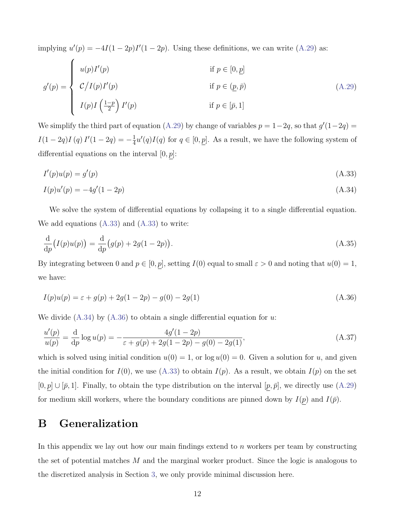implying  $u'(p) = -4I(1-2p)I'(1-2p)$ . Using these definitions, we can write [\(A.29\)](#page-55-2) as:

$$
g'(p) = \begin{cases} u(p)I'(p) & \text{if } p \in [0, \underline{p}] \\ C/I(p)I'(p) & \text{if } p \in (\underline{p}, \overline{p}) \\ I(p)I(\frac{1-p}{2})I'(p) & \text{if } p \in [\overline{p}, 1] \end{cases}
$$
(A.29)

We simplify the third part of equation [\(A.29\)](#page-55-2) by change of variables  $p = 1-2q$ , so that  $g'(1-2q) =$  $I(1-2q)I(q)I'(1-2q)=-\frac{1}{4}$  $\frac{1}{4}u'(q)I(q)$  for  $q \in [0, \underline{p}]$ . As a result, we have the following system of differential equations on the interval  $[0, p]$ :

<span id="page-57-2"></span><span id="page-57-1"></span>
$$
I'(p)u(p) = g'(p) \tag{A.33}
$$

$$
I(p)u'(p) = -4g'(1-2p) \tag{A.34}
$$

We solve the system of differential equations by collapsing it to a single differential equation. We add equations  $(A.33)$  and  $(A.33)$  to write:

$$
\frac{d}{dp}(I(p)u(p)) = \frac{d}{dp}(g(p) + 2g(1 - 2p)).
$$
\n(A.35)

<span id="page-57-3"></span>By integrating between 0 and  $p \in [0, p]$ , setting  $I(0)$  equal to small  $\varepsilon > 0$  and noting that  $u(0) = 1$ , we have:

$$
I(p)u(p) = \varepsilon + g(p) + 2g(1 - 2p) - g(0) - 2g(1)
$$
\n(A.36)

We divide  $(A.34)$  by  $(A.36)$  to obtain a single differential equation for u.

$$
\frac{u'(p)}{u(p)} = \frac{d}{dp}\log u(p) = -\frac{4g'(1-2p)}{\varepsilon + g(p) + 2g(1-2p) - g(0) - 2g(1)},\tag{A.37}
$$

which is solved using initial condition  $u(0) = 1$ , or  $\log u(0) = 0$ . Given a solution for u, and given the initial condition for  $I(0)$ , we use [\(A.33\)](#page-57-1) to obtain  $I(p)$ . As a result, we obtain  $I(p)$  on the set  $[0, \underline{p}] \cup [\overline{p}, 1]$ . Finally, to obtain the type distribution on the interval  $[\underline{p}, \overline{p}]$ , we directly use [\(A.29\)](#page-55-2) for medium skill workers, where the boundary conditions are pinned down by  $I(p)$  and  $I(\bar{p})$ .

### <span id="page-57-0"></span>B Generalization

In this appendix we lay out how our main findings extend to n workers per team by constructing the set of potential matches  $M$  and the marginal worker product. Since the logic is analogous to the discretized analysis in Section [3,](#page-14-1) we only provide minimal discussion here.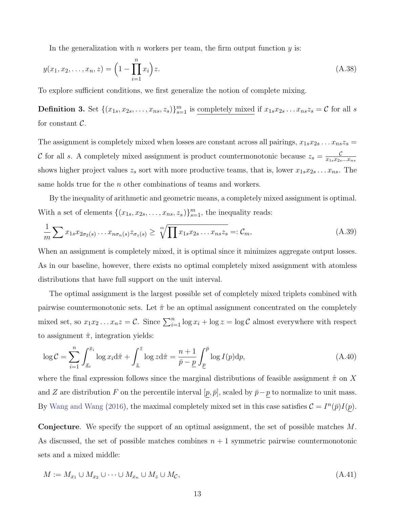In the generalization with  $n$  workers per team, the firm output function  $y$  is:

$$
y(x_1, x_2, \dots, x_n, z) = \left(1 - \prod_{i=1}^n x_i\right) z.
$$
\n(A.38)

To explore sufficient conditions, we first generalize the notion of complete mixing.

**Definition 3.** Set  $\{(x_{1s}, x_{2s}, \ldots, x_{ns}, z_s)\}_{s=1}^m$  is completely mixed if  $x_{1s}x_{2s} \ldots x_{ns}z_s = C$  for all s for constant  $\mathcal{C}.$ 

The assignment is completely mixed when losses are constant across all pairings,  $x_{1s}x_{2s} \ldots x_{ns}z_s =$ C for all s. A completely mixed assignment is product countermonotonic because  $z_s = \frac{C}{x_1 - x_2}$  $x_{1s}x_{2s}...x_{ns}$ shows higher project values  $z_s$  sort with more productive teams, that is, lower  $x_{1s}x_{2s} \ldots x_{ns}$ . The same holds true for the *n* other combinations of teams and workers.

By the inequality of arithmetic and geometric means, a completely mixed assignment is optimal. With a set of elements  $\{(x_{1s}, x_{2s}, \ldots, x_{ns}, z_s)\}_{s=1}^m$ , the inequality reads:

$$
\frac{1}{m}\sum x_{1s}x_{2\sigma_2(s)}\dots x_{n\sigma_n(s)}z_{\sigma_z(s)} \ge \sqrt[m]{\prod x_{1s}x_{2s}\dots x_{ns}z_s} =: \mathcal{C}_m,
$$
\n(A.39)

When an assignment is completely mixed, it is optimal since it minimizes aggregate output losses. As in our baseline, however, there exists no optimal completely mixed assignment with atomless distributions that have full support on the unit interval.

The optimal assignment is the largest possible set of completely mixed triplets combined with pairwise countermonotonic sets. Let  $\hat{\pi}$  be an optimal assignment concentrated on the completely mixed set, so  $x_1x_2...x_nz = C$ . Since  $\sum_{i=1}^n \log x_i + \log z = \log C$  almost everywhere with respect to assignment  $\hat{\pi}$ , integration yields:

$$
\log \mathcal{C} = \sum_{i=1}^{n} \int_{\underline{x}_i}^{\bar{x}_i} \log x_i \mathrm{d}\hat{\pi} + \int_{\underline{z}}^{\bar{z}} \log z \mathrm{d}\hat{\pi} = \frac{n+1}{\bar{p}-p} \int_{\underline{p}}^{\bar{p}} \log I(p) \mathrm{d}p,\tag{A.40}
$$

where the final expression follows since the marginal distributions of feasible assignment  $\hat{\pi}$  on X and Z are distribution F on the percentile interval  $[p, \bar{p}]$ , scaled by  $\bar{p}-p$  to normalize to unit mass. By [Wang and Wang](#page-45-1) [\(2016\)](#page-45-1), the maximal completely mixed set in this case satisfies  $\mathcal{C} = I^{n}(\bar{p})I(p)$ .

Conjecture. We specify the support of an optimal assignment, the set of possible matches M. As discussed, the set of possible matches combines  $n + 1$  symmetric pairwise countermonotonic sets and a mixed middle:

$$
M := M_{x_1} \cup M_{x_2} \cup \dots \cup M_{x_n} \cup M_z \cup M_{\mathcal{C}},\tag{A.41}
$$